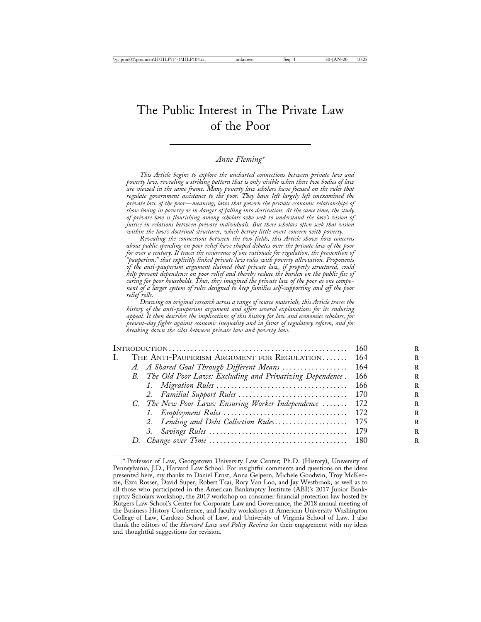# The Public Interest in The Private Law of the Poor

#### *Anne Fleming\**

*This Article begins to explore the uncharted connections between private law and poverty law, revealing a striking pattern that is only visible when these two bodies of law are viewed in the same frame. Many poverty law scholars have focused on the rules that regulate government assistance to the poor. They have left largely left unexamined the private law of the poor*—*meaning, laws that govern the private economic relationships of those living in poverty or in danger of falling into destitution. At the same time, the study of private law is flourishing among scholars who seek to understand the law's vision of justice in relations between private individuals. But these scholars often seek that vision within the law's doctrinal structures, which betray little overt concern with poverty.*

*Revealing the connections between the two fields, this Article shows how concerns about public spending on poor relief have shaped debates over the private law of the poor for over a century. It traces the recurrence of one rationale for regulation, the prevention of "pauperism," that explicitly linked private law rules with poverty alleviation. Proponents of the anti-pauperism argument claimed that private law, if properly structured, could help prevent dependence on poor relief and thereby reduce the burden on the public fisc of caring for poor households. Thus, they imagined the private law of the poor as one component of a larger system of rules designed to keep families self-supporting and off the poor relief rolls.*

*Drawing on original research across a range of source materials, this Article traces the history of the anti-pauperism argument and offers several explanations for its enduring appeal. It then describes the implications of this history for law and economics scholars, for present-day fights against economic inequality and in favor of regulatory reform, and for breaking down the silos between private law and poverty law.*

|   |                                                             | 160  |
|---|-------------------------------------------------------------|------|
| L | THE ANTI-PAUPERISM ARGUMENT FOR REGULATION 164              |      |
|   | A. A Shared Goal Through Different Means  164               |      |
|   | B. The Old Poor Laws: Excluding and Privatizing Dependence. | 166  |
|   |                                                             | -166 |
|   |                                                             |      |
|   | C. The New Poor Laws: Ensuring Worker Independence  172     |      |
|   |                                                             |      |
|   | 2. Lending and Debt Collection Rules 175                    |      |
|   |                                                             |      |
|   |                                                             |      |

<sup>\*</sup> Professor of Law, Georgetown University Law Center; Ph.D. (History), University of Pennsylvania, J.D., Harvard Law School. For insightful comments and questions on the ideas presented here, my thanks to Daniel Ernst, Anna Gelpern, Michele Goodwin, Troy McKenzie, Ezra Rosser, David Super, Robert Tsai, Rory Van Loo, and Jay Westbrook, as well as to all those who participated in the American Bankruptcy Institute (ABI)'s 2017 Junior Bankruptcy Scholars workshop, the 2017 workshop on consumer financial protection law hosted by Rutgers Law School's Center for Corporate Law and Governance, the 2018 annual meeting of the Business History Conference, and faculty workshops at American University Washington College of Law, Cardozo School of Law, and University of Virginia School of Law. I also thank the editors of the *Harvard Law and Policy Review* for their engagement with my ideas and thoughtful suggestions for revision.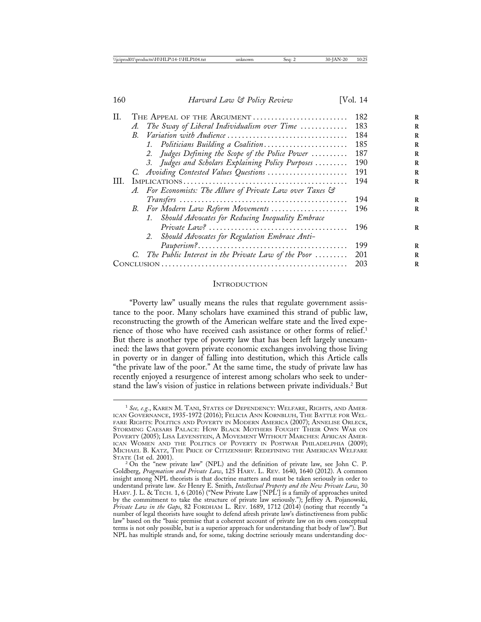| H.   |             | THE APPEAL OF THE ARGUMENT                                                                                | 182 |
|------|-------------|-----------------------------------------------------------------------------------------------------------|-----|
|      | A.          | The Sway of Liberal Individualism over Time $\ldots \ldots \ldots$                                        | 183 |
|      | $R_{\cdot}$ |                                                                                                           | 184 |
|      |             | 1. Politicians Building a Coalition                                                                       | 185 |
|      |             | 2. Judges Defining the Scope of the Police Power                                                          | 187 |
|      |             | 3. Judges and Scholars Explaining Policy Purposes                                                         | 190 |
|      |             | C. Avoiding Contested Values Questions                                                                    | 191 |
| III. |             | $IMPLICATIONS \ldots \ldots \ldots \ldots \ldots \ldots \ldots \ldots \ldots \ldots \ldots \ldots \ldots$ | 194 |
|      |             | A. For Economists: The Allure of Private Law over Taxes &                                                 |     |
|      |             |                                                                                                           | 194 |
|      |             | B. For Modern Law Reform Movements                                                                        | 196 |
|      |             | 1. Should Advocates for Reducing Inequality Embrace                                                       |     |
|      |             |                                                                                                           | 196 |
|      |             | 2. Should Advocates for Regulation Embrace Anti-                                                          |     |
|      |             |                                                                                                           | 199 |
|      |             | C. The Public Interest in the Private Law of the Poor                                                     | 201 |
|      | 203         |                                                                                                           |     |
|      |             |                                                                                                           |     |

#### **INTRODUCTION**

"Poverty law" usually means the rules that regulate government assistance to the poor. Many scholars have examined this strand of public law, reconstructing the growth of the American welfare state and the lived experience of those who have received cash assistance or other forms of relief.<sup>1</sup> But there is another type of poverty law that has been left largely unexamined: the laws that govern private economic exchanges involving those living in poverty or in danger of falling into destitution, which this Article calls "the private law of the poor." At the same time, the study of private law has recently enjoyed a resurgence of interest among scholars who seek to understand the law's vision of justice in relations between private individuals.2 But

<sup>1</sup> *See, e.g.*, KAREN M. TANI, STATES OF DEPENDENCY: WELFARE, RIGHTS, AND AMER-ICAN GOVERNANCE, 1935-1972 (2016); FELICIA ANN KORNBLUH, THE BATTLE FOR WEL-FARE RIGHTS: POLITICS AND POVERTY IN MODERN AMERICA (2007); ANNELISE ORLECK, STORMING CAESARS PALACE: HOW BLACK MOTHERS FOUGHT THEIR OWN WAR ON POVERTY (2005); LISA LEVENSTEIN, A MOVEMENT WITHOUT MARCHES: AFRICAN AMER-ICAN WOMEN AND THE POLITICS OF POVERTY IN POSTWAR PHILADELPHIA (2009); MICHAEL B. KATZ, THE PRICE OF CITIZENSHIP: REDEFINING THE AMERICAN WELFARE STATE (1st ed. 2001).

STATE (1st ed. 2001).<br><sup>2</sup> On the "new private law" (NPL) and the definition of private law, see John C. P. Goldberg, *Pragmatism and Private Law*, 125 HARV. L. REV. 1640, 1640 (2012). A common insight among NPL theorists is that doctrine matters and must be taken seriously in order to understand private law. *See* Henry E. Smith, *Intellectual Property and the New Private Law*, 30 HARV. J. L. & TECH. 1, 6 (2016) ("New Private Law ['NPL'] is a family of approaches united by the commitment to take the structure of private law seriously."); Jeffrey A. Pojanowski, *Private Law in the Gaps*, 82 FORDHAM L. REV. 1689, 1712 (2014) (noting that recently "a number of legal theorists have sought to defend afresh private law's distinctiveness from public law" based on the "basic premise that a coherent account of private law on its own conceptual terms is not only possible, but is a superior approach for understanding that body of law"). But NPL has multiple strands and, for some, taking doctrine seriously means understanding doc-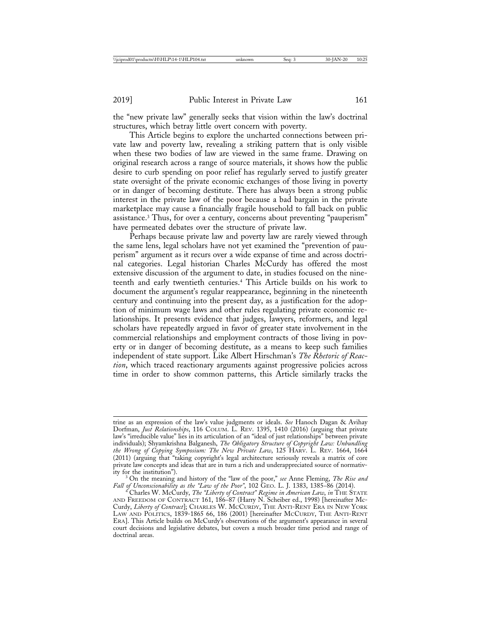the "new private law" generally seeks that vision within the law's doctrinal structures, which betray little overt concern with poverty.

This Article begins to explore the uncharted connections between private law and poverty law, revealing a striking pattern that is only visible when these two bodies of law are viewed in the same frame. Drawing on original research across a range of source materials, it shows how the public desire to curb spending on poor relief has regularly served to justify greater state oversight of the private economic exchanges of those living in poverty or in danger of becoming destitute. There has always been a strong public interest in the private law of the poor because a bad bargain in the private marketplace may cause a financially fragile household to fall back on public assistance.3 Thus, for over a century, concerns about preventing "pauperism" have permeated debates over the structure of private law.

Perhaps because private law and poverty law are rarely viewed through the same lens, legal scholars have not yet examined the "prevention of pauperism" argument as it recurs over a wide expanse of time and across doctrinal categories. Legal historian Charles McCurdy has offered the most extensive discussion of the argument to date, in studies focused on the nineteenth and early twentieth centuries.4 This Article builds on his work to document the argument's regular reappearance, beginning in the nineteenth century and continuing into the present day, as a justification for the adoption of minimum wage laws and other rules regulating private economic relationships. It presents evidence that judges, lawyers, reformers, and legal scholars have repeatedly argued in favor of greater state involvement in the commercial relationships and employment contracts of those living in poverty or in danger of becoming destitute, as a means to keep such families independent of state support. Like Albert Hirschman's *The Rhetoric of Reaction*, which traced reactionary arguments against progressive policies across time in order to show common patterns, this Article similarly tracks the

trine as an expression of the law's value judgments or ideals. *See* Hanoch Dagan & Avihay Dorfman, *Just Relationships*, 116 COLUM. L. REV. 1395, 1410 (2016) (arguing that private law's "irreducible value" lies in its articulation of an "ideal of just relationships" between private individuals); Shyamkrishna Balganesh, *The Obligatory Structure of Copyright Law: Unbundling the Wrong of Copying Symposium: The New Private Law*, 125 HARV. L. REV. 1664, 1664 (2011) (arguing that "taking copyright's legal architecture seriously reveals a matrix of core private law concepts and ideas that are in turn a rich and underappreciated source of normativ-

ity for the institution"). <sup>3</sup> On the meaning and history of the "law of the poor," *see* Anne Fleming, *The Rise and Fall of Unconscionability as the "Law of the Poor"*, 102 GEO. L. J. 1383, 1385–86 (2014). <sup>4</sup> Charles W. McCurdy, *The "Liberty of Contract" Regime in American Law*, *in* THE STATE

AND FREEDOM OF CONTRACT 161, 186–87 (Harry N. Scheiber ed., 1998) [hereinafter Mc-Curdy, *Liberty of Contract*]; CHARLES W. MCCURDY, THE ANTI-RENT ERA IN NEW YORK LAW AND POLITICS, 1839-1865 66, 186 (2001) [hereinafter MCCURDY, THE ANTI-RENT ERA]. This Article builds on McCurdy's observations of the argument's appearance in several court decisions and legislative debates, but covers a much broader time period and range of doctrinal areas.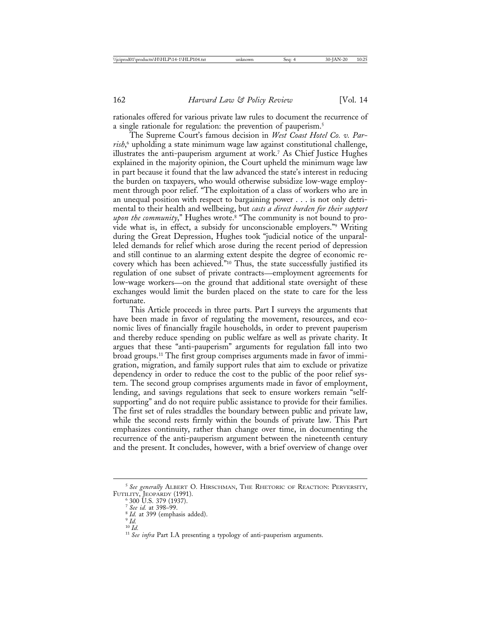rationales offered for various private law rules to document the recurrence of a single rationale for regulation: the prevention of pauperism.<sup>5</sup>

The Supreme Court's famous decision in *West Coast Hotel Co. v. Parrish*, 6 upholding a state minimum wage law against constitutional challenge, illustrates the anti-pauperism argument at work.7 As Chief Justice Hughes explained in the majority opinion, the Court upheld the minimum wage law in part because it found that the law advanced the state's interest in reducing the burden on taxpayers, who would otherwise subsidize low-wage employment through poor relief. "The exploitation of a class of workers who are in an unequal position with respect to bargaining power . . . is not only detrimental to their health and wellbeing, but *casts a direct burden for their support upon the community*," Hughes wrote.8 "The community is not bound to provide what is, in effect, a subsidy for unconscionable employers."9 Writing during the Great Depression, Hughes took "judicial notice of the unparalleled demands for relief which arose during the recent period of depression and still continue to an alarming extent despite the degree of economic recovery which has been achieved."10 Thus, the state successfully justified its regulation of one subset of private contracts—employment agreements for low-wage workers—on the ground that additional state oversight of these exchanges would limit the burden placed on the state to care for the less fortunate.

This Article proceeds in three parts. Part I surveys the arguments that have been made in favor of regulating the movement, resources, and economic lives of financially fragile households, in order to prevent pauperism and thereby reduce spending on public welfare as well as private charity. It argues that these "anti-pauperism" arguments for regulation fall into two broad groups.11 The first group comprises arguments made in favor of immigration, migration, and family support rules that aim to exclude or privatize dependency in order to reduce the cost to the public of the poor relief system. The second group comprises arguments made in favor of employment, lending, and savings regulations that seek to ensure workers remain "selfsupporting" and do not require public assistance to provide for their families. The first set of rules straddles the boundary between public and private law, while the second rests firmly within the bounds of private law. This Part emphasizes continuity, rather than change over time, in documenting the recurrence of the anti-pauperism argument between the nineteenth century and the present. It concludes, however, with a brief overview of change over

<sup>5</sup> *See generally* ALBERT O. HIRSCHMAN, THE RHETORIC OF REACTION: PERVERSITY, FUTILITY, JEOPARDY (1991).<br>
6 300 U.S. 379 (1937).<br>
7 See id. at 398–99.

<sup>&</sup>lt;sup>8</sup> *Id.* at 399 (emphasis added).<br><sup>9</sup> *Id.* <sup>10</sup> *Id.* 

<sup>&</sup>lt;sup>11</sup> See infra Part I.A presenting a typology of anti-pauperism arguments.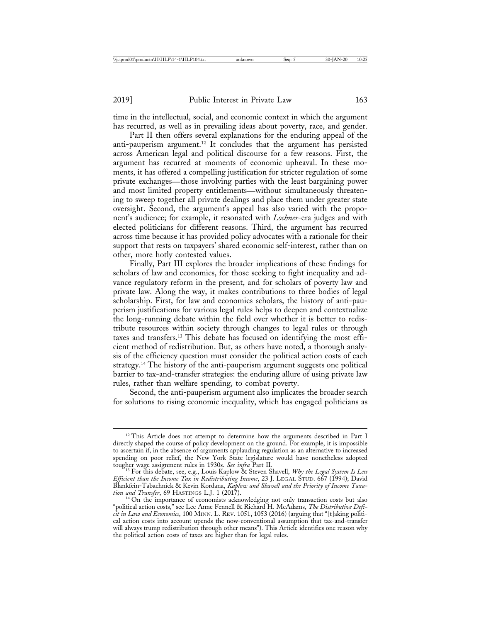time in the intellectual, social, and economic context in which the argument has recurred, as well as in prevailing ideas about poverty, race, and gender.

Part II then offers several explanations for the enduring appeal of the anti-pauperism argument.12 It concludes that the argument has persisted across American legal and political discourse for a few reasons. First, the argument has recurred at moments of economic upheaval. In these moments, it has offered a compelling justification for stricter regulation of some private exchanges—those involving parties with the least bargaining power and most limited property entitlements—without simultaneously threatening to sweep together all private dealings and place them under greater state oversight. Second, the argument's appeal has also varied with the proponent's audience; for example, it resonated with *Lochner*-era judges and with elected politicians for different reasons. Third, the argument has recurred across time because it has provided policy advocates with a rationale for their support that rests on taxpayers' shared economic self-interest, rather than on other, more hotly contested values.

Finally, Part III explores the broader implications of these findings for scholars of law and economics, for those seeking to fight inequality and advance regulatory reform in the present, and for scholars of poverty law and private law. Along the way, it makes contributions to three bodies of legal scholarship. First, for law and economics scholars, the history of anti-pauperism justifications for various legal rules helps to deepen and contextualize the long-running debate within the field over whether it is better to redistribute resources within society through changes to legal rules or through taxes and transfers.13 This debate has focused on identifying the most efficient method of redistribution. But, as others have noted, a thorough analysis of the efficiency question must consider the political action costs of each strategy.14 The history of the anti-pauperism argument suggests one political barrier to tax-and-transfer strategies: the enduring allure of using private law rules, rather than welfare spending, to combat poverty.

Second, the anti-pauperism argument also implicates the broader search for solutions to rising economic inequality, which has engaged politicians as

<sup>&</sup>lt;sup>12</sup> This Article does not attempt to determine how the arguments described in Part I directly shaped the course of policy development on the ground. For example, it is impossible to ascertain if, in the absence of arguments applauding regulation as an alternative to increased spending on poor relief, the New York State legislature would have nonetheless adopted tougher wage assignment rules in 1930s. *See infra* Part II. <sup>13</sup> For this debate, see, e.g., Louis Kaplow & Steven Shavell, *Why the Legal System Is Less*

*Efficient than the Income Tax in Redistributing Income*, 23 J. LEGAL STUD. 667 (1994); David Blankfein-Tabachnick & Kevin Kordana, *Kaplow and Shavell and the Priority of Income Taxation and Transfer*, 69 HASTINGS L.J. 1 (2017).<br><sup>14</sup> On the importance of economists acknowledging not only transaction costs but also

<sup>&</sup>quot;political action costs," see Lee Anne Fennell & Richard H. McAdams, *The Distributive Deficit in Law and Economics*, 100 MINN. L. REV. 1051, 1053 (2016) (arguing that "[t]aking political action costs into account upends the now-conventional assumption that tax-and-transfer will always trump redistribution through other means"). This Article identifies one reason why the political action costs of taxes are higher than for legal rules.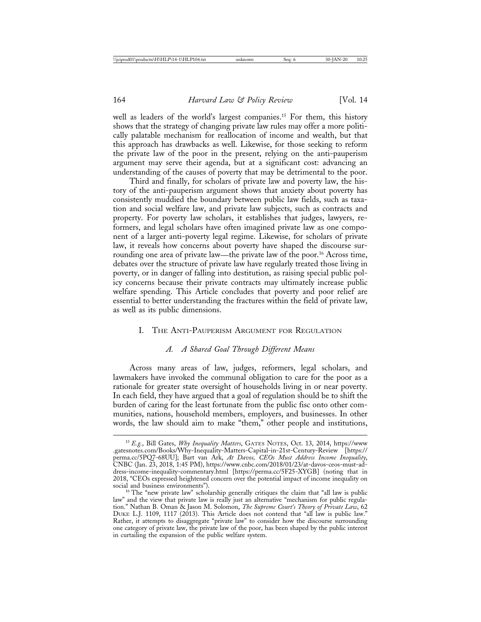well as leaders of the world's largest companies.<sup>15</sup> For them, this history shows that the strategy of changing private law rules may offer a more politically palatable mechanism for reallocation of income and wealth, but that this approach has drawbacks as well. Likewise, for those seeking to reform the private law of the poor in the present, relying on the anti-pauperism argument may serve their agenda, but at a significant cost: advancing an understanding of the causes of poverty that may be detrimental to the poor.

Third and finally, for scholars of private law and poverty law, the history of the anti-pauperism argument shows that anxiety about poverty has consistently muddied the boundary between public law fields, such as taxation and social welfare law, and private law subjects, such as contracts and property. For poverty law scholars, it establishes that judges, lawyers, reformers, and legal scholars have often imagined private law as one component of a larger anti-poverty legal regime. Likewise, for scholars of private law, it reveals how concerns about poverty have shaped the discourse surrounding one area of private law—the private law of the poor.<sup>16</sup> Across time, debates over the structure of private law have regularly treated those living in poverty, or in danger of falling into destitution, as raising special public policy concerns because their private contracts may ultimately increase public welfare spending. This Article concludes that poverty and poor relief are essential to better understanding the fractures within the field of private law, as well as its public dimensions.

#### I. THE ANTI-PAUPERISM ARGUMENT FOR REGULATION

#### *A. A Shared Goal Through Different Means*

Across many areas of law, judges, reformers, legal scholars, and lawmakers have invoked the communal obligation to care for the poor as a rationale for greater state oversight of households living in or near poverty. In each field, they have argued that a goal of regulation should be to shift the burden of caring for the least fortunate from the public fisc onto other communities, nations, household members, employers, and businesses. In other words, the law should aim to make "them," other people and institutions,

<sup>15</sup> *E.g.*, Bill Gates, *Why Inequality Matters*, GATES NOTES, Oct. 13, 2014, https://www .gatesnotes.com/Books/Why-Inequality-Matters-Capital-in-21st-Century-Review [https:// perma.cc/5PQ7-68UU]; Bart van Ark, *At Davos, CEOs Must Address Income Inequality*, CNBC (Jan. 23, 2018, 1:45 PM), https://www.cnbc.com/2018/01/23/at-davos-ceos-must-address-income-inequality-commentary.html [https://perma.cc/5F25-XYGB] (noting that in 2018, "CEOs expressed heightened concern over the potential impact of income inequality on

<sup>&</sup>lt;sup>16</sup> The "new private law" scholarship generally critiques the claim that "all law is public law" and the view that private law is really just an alternative "mechanism for public regulation." Nathan B. Oman & Jason M. Solomon, *The Supreme Court's Theory of Private Law*, 62 DUKE L.J. 1109, 1117 (2013). This Article does not contend that "all law is public law." Rather, it attempts to disaggregate "private law" to consider how the discourse surrounding one category of private law, the private law of the poor, has been shaped by the public interest in curtailing the expansion of the public welfare system.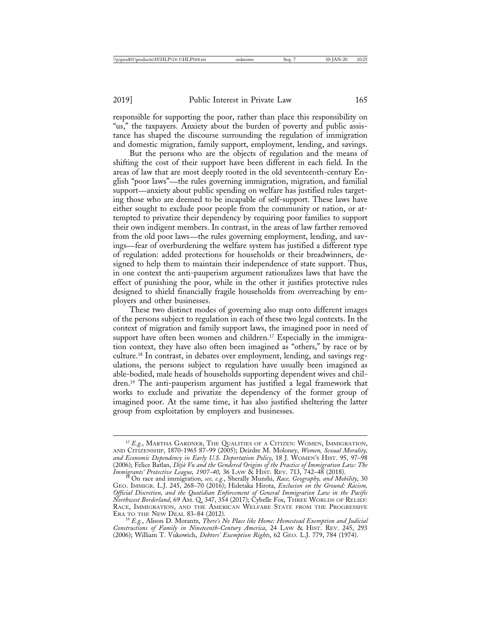responsible for supporting the poor, rather than place this responsibility on "us," the taxpayers. Anxiety about the burden of poverty and public assistance has shaped the discourse surrounding the regulation of immigration and domestic migration, family support, employment, lending, and savings.

But the persons who are the objects of regulation and the means of shifting the cost of their support have been different in each field. In the areas of law that are most deeply rooted in the old seventeenth-century English "poor laws"—the rules governing immigration, migration, and familial support—anxiety about public spending on welfare has justified rules targeting those who are deemed to be incapable of self-support. These laws have either sought to exclude poor people from the community or nation, or attempted to privatize their dependency by requiring poor families to support their own indigent members. In contrast, in the areas of law farther removed from the old poor laws—the rules governing employment, lending, and savings—fear of overburdening the welfare system has justified a different type of regulation: added protections for households or their breadwinners, designed to help them to maintain their independence of state support. Thus, in one context the anti-pauperism argument rationalizes laws that have the effect of punishing the poor, while in the other it justifies protective rules designed to shield financially fragile households from overreaching by employers and other businesses.

These two distinct modes of governing also map onto different images of the persons subject to regulation in each of these two legal contexts. In the context of migration and family support laws, the imagined poor in need of support have often been women and children.<sup>17</sup> Especially in the immigration context, they have also often been imagined as "others," by race or by culture.18 In contrast, in debates over employment, lending, and savings regulations, the persons subject to regulation have usually been imagined as able-bodied, male heads of households supporting dependent wives and children.19 The anti-pauperism argument has justified a legal framework that works to exclude and privatize the dependency of the former group of imagined poor. At the same time, it has also justified sheltering the latter group from exploitation by employers and businesses.

<sup>&</sup>lt;sup>17</sup> E.g., MARTHA GARDNER, THE QUALITIES OF A CITIZEN: WOMEN, IMMIGRATION, AND CITIZENSHIP, 1870-1965 87–99 (2005); Deirdre M. Moloney, *Women, Sexual Morality, and Economic Dependency in Early U.S. Deportation Policy*, 18 J. WOMEN'S HIST. 95, 97–98 (2006); Felice Batlan, *Déjà Vu and the Gendered Origins of the Practice of Immigration Law: The Immigrants' Protective League, 1907-40*, 36 LAW & HIST. REV. 713, 742–48 (2018). <sup>18</sup> On race and immigration, *see, e.g.*, Sherally Munshi, *Race, Geography, and Mobility*, 30

GEO. IMMIGR. L.J. 245, 268–70 (2016); Hidetaka Hirota, *Exclusion on the Ground: Racism, Official Discretion, and the Quotidian Enforcement of General Immigration Law in the Pacific Northwest Borderland*, 69 AM. Q. 347, 354 (2017); Cybelle Fox, THREE WORLDS OF RELIEF: RACE, IMMIGRATION, AND THE AMERICAN WELFARE STATE FROM THE PROGRESSIVE ERA TO THE NEW DEAL 83-84 (2012).

<sup>&</sup>lt;sup>19</sup> E.g., Alison D. Morantz, *There's No Place like Home: Homestead Exemption and Judicial Constructions of Family in Nineteenth-Century America*, 24 LAW & HIST. REV. 245, 293 (2006); William T. Vukowich, *Debtors' Exemption Rights*, 62 GEO. L.J. 779, 784 (1974).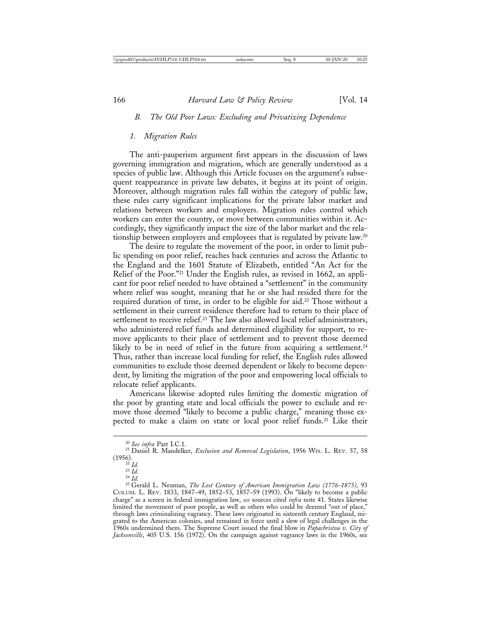#### *B. The Old Poor Laws: Excluding and Privatizing Dependence*

#### *1. Migration Rules*

The anti-pauperism argument first appears in the discussion of laws governing immigration and migration, which are generally understood as a species of public law. Although this Article focuses on the argument's subsequent reappearance in private law debates, it begins at its point of origin. Moreover, although migration rules fall within the category of public law, these rules carry significant implications for the private labor market and relations between workers and employers. Migration rules control which workers can enter the country, or move between communities within it. Accordingly, they significantly impact the size of the labor market and the relationship between employers and employees that is regulated by private law.20

The desire to regulate the movement of the poor, in order to limit public spending on poor relief, reaches back centuries and across the Atlantic to the England and the 1601 Statute of Elizabeth, entitled "An Act for the Relief of the Poor."21 Under the English rules, as revised in 1662, an applicant for poor relief needed to have obtained a "settlement" in the community where relief was sought, meaning that he or she had resided there for the required duration of time, in order to be eligible for aid.<sup>22</sup> Those without a settlement in their current residence therefore had to return to their place of settlement to receive relief.<sup>23</sup> The law also allowed local relief administrators, who administered relief funds and determined eligibility for support, to remove applicants to their place of settlement and to prevent those deemed likely to be in need of relief in the future from acquiring a settlement.<sup>24</sup> Thus, rather than increase local funding for relief, the English rules allowed communities to exclude those deemed dependent or likely to become dependent, by limiting the migration of the poor and empowering local officials to relocate relief applicants.

Americans likewise adopted rules limiting the domestic migration of the poor by granting state and local officials the power to exclude and remove those deemed "likely to become a public charge," meaning those expected to make a claim on state or local poor relief funds.25 Like their

<sup>&</sup>lt;sup>20</sup> *See infra* Part I.C.1.<br><sup>21</sup> Daniel R. Mandelker, *Exclusion and Removal Legislation*, 1956 WIS. L. REV. 57, 58<br>(1956).

<sup>&</sup>lt;sup>22</sup> *Id.*<br><sup>23</sup> *Id.*<br><sup>24</sup> *Id.* 24 *Id.* 25 Gerald L. Neuman, *The Lost Century of American Immigration Law (1776-1875), 93* COLUM. L. REV. 1833, 1847–49, 1852–53, 1857–59 (1993). On "likely to become a public charge" as a screen in federal immigration law, *see* sources cited *infra* note 41. States likewise limited the movement of poor people, as well as others who could be deemed "out of place," through laws criminalizing vagrancy. These laws originated in sixteenth century England, migrated to the American colonies, and remained in force until a slew of legal challenges in the 1960s undermined them. The Supreme Court issued the final blow in *Papachristou v. City of Jacksonville*, 405 U.S. 156 (1972). On the campaign against vagrancy laws in the 1960s, see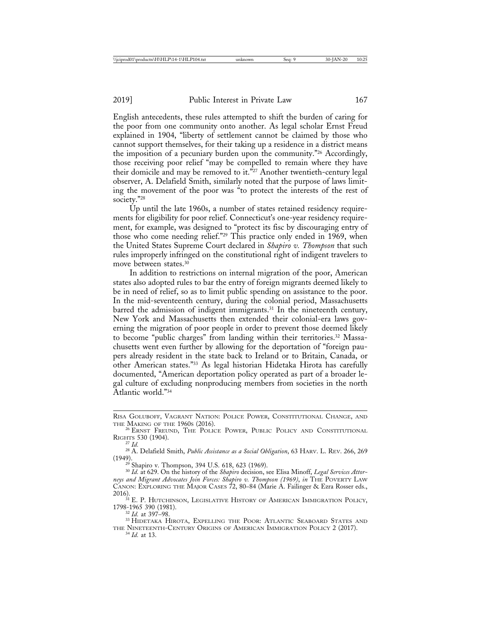English antecedents, these rules attempted to shift the burden of caring for the poor from one community onto another. As legal scholar Ernst Freud explained in 1904, "liberty of settlement cannot be claimed by those who cannot support themselves, for their taking up a residence in a district means the imposition of a pecuniary burden upon the community."26 Accordingly, those receiving poor relief "may be compelled to remain where they have their domicile and may be removed to it.<sup> $\tilde{r}_{27}$ </sup> Another twentieth-century legal observer, A. Delafield Smith, similarly noted that the purpose of laws limiting the movement of the poor was "to protect the interests of the rest of society."28

Up until the late 1960s, a number of states retained residency requirements for eligibility for poor relief. Connecticut's one-year residency requirement, for example, was designed to "protect its fisc by discouraging entry of those who come needing relief."29 This practice only ended in 1969, when the United States Supreme Court declared in *Shapiro v. Thompson* that such rules improperly infringed on the constitutional right of indigent travelers to move between states.30

In addition to restrictions on internal migration of the poor, American states also adopted rules to bar the entry of foreign migrants deemed likely to be in need of relief, so as to limit public spending on assistance to the poor. In the mid-seventeenth century, during the colonial period, Massachusetts barred the admission of indigent immigrants.31 In the nineteenth century, New York and Massachusetts then extended their colonial-era laws governing the migration of poor people in order to prevent those deemed likely to become "public charges" from landing within their territories.32 Massachusetts went even further by allowing for the deportation of "foreign paupers already resident in the state back to Ireland or to Britain, Canada, or other American states."33 As legal historian Hidetaka Hirota has carefully documented, "American deportation policy operated as part of a broader legal culture of excluding nonproducing members from societies in the north Atlantic world."34

<sup>29</sup> Shapiro v. Thompson, 394 U.S. 618, 623 (1969).<br><sup>30</sup> *Id.* at 629. On the history of the *Shapiro* decision, see Elisa Minoff, *Legal Services Attorneys and Migrant Advocates Join Forces: Shapiro v. Thompson (1969)*, *in* THE POVERTY LAW CANON: EXPLORING THE MAJOR CASES 72, 80-84 (Marie A. Failinger & Ezra Rosser eds.,

2016).  $31$  E. P. Hutchinson, Legislative History of American Immigration Policy, 1798-1965 390 (1981).

<sup>32</sup> *Id.* at 397–98.<br><sup>33</sup> Hidetaka Hirota, Expelling the Poor: Atlantic Seaboard States and THE NINETEENTH-CENTURY ORIGINS OF AMERICAN IMMIGRATION POLICY 2 (2017). <sup>34</sup> *Id.* at 13.

RISA GOLUBOFF, VAGRANT NATION: POLICE POWER, CONSTITUTIONAL CHANGE, AND THE MAKING OF THE 1960s (2016).

<sup>&</sup>lt;sup>26</sup> ERNST FREUND, THE POLICE POWER, PUBLIC POLICY AND CONSTITUTIONAL

RIGHTS 530 (1904).<br><sup>27</sup> *Id.* 28 A. Delafield Smith, *Public Assistance as a Social Obligation*, 63 HARV. L. REV. 266, 269<br>(1949).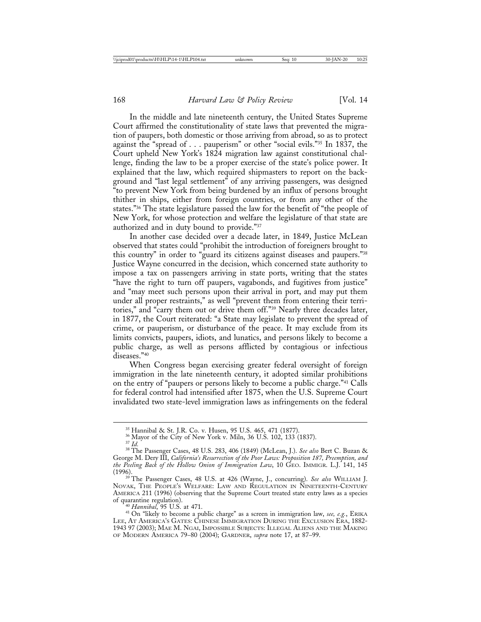In the middle and late nineteenth century, the United States Supreme Court affirmed the constitutionality of state laws that prevented the migration of paupers, both domestic or those arriving from abroad, so as to protect against the "spread of . . . pauperism" or other "social evils."35 In 1837, the Court upheld New York's 1824 migration law against constitutional challenge, finding the law to be a proper exercise of the state's police power. It explained that the law, which required shipmasters to report on the background and "last legal settlement" of any arriving passengers, was designed "to prevent New York from being burdened by an influx of persons brought thither in ships, either from foreign countries, or from any other of the states."36 The state legislature passed the law for the benefit of "the people of New York, for whose protection and welfare the legislature of that state are authorized and in duty bound to provide."37

In another case decided over a decade later, in 1849, Justice McLean observed that states could "prohibit the introduction of foreigners brought to this country" in order to "guard its citizens against diseases and paupers."38 Justice Wayne concurred in the decision, which concerned state authority to impose a tax on passengers arriving in state ports, writing that the states "have the right to turn off paupers, vagabonds, and fugitives from justice" and "may meet such persons upon their arrival in port, and may put them under all proper restraints," as well "prevent them from entering their territories," and "carry them out or drive them off."39 Nearly three decades later, in 1877, the Court reiterated: "a State may legislate to prevent the spread of crime, or pauperism, or disturbance of the peace. It may exclude from its limits convicts, paupers, idiots, and lunatics, and persons likely to become a public charge, as well as persons afflicted by contagious or infectious diseases."40

When Congress began exercising greater federal oversight of foreign immigration in the late nineteenth century, it adopted similar prohibitions on the entry of "paupers or persons likely to become a public charge."41 Calls for federal control had intensified after 1875, when the U.S. Supreme Court invalidated two state-level immigration laws as infringements on the federal

<sup>&</sup>lt;sup>35</sup> Hannibal & St. J.R. Co. v. Husen, 95 U.S. 465, 471 (1877).<br><sup>36</sup> Mayor of the City of New York v. Miln, 36 U.S. 102, 133 (1837).<br><sup>37</sup> Id.<br><sup>38</sup> The Passenger Cases, 48 U.S. 283, 406 (1849) (McLean, J.). *See also* Bert George M. Dery III, *California's Resurrection of the Poor Laws: Proposition 187, Preemption, and the Peeling Back of the Hollow Onion of Immigration Law*, 10 GEO. IMMIGR. L.J. 141, 145

<sup>&</sup>lt;sup>39</sup> The Passenger Cases, 48 U.S. at 426 (Wayne, J., concurring). *See also* WILLIAM J. NOVAK, THE PEOPLE'S WELFARE: LAW AND REGULATION IN NINETEENTH-CENTURY AMERICA 211 (1996) (observing that the Supreme Court treated state entry laws as a species of quarantine regulation).<br><sup>40</sup> Hannibal, 95 U.S. at 471.

<sup>&</sup>lt;sup>41</sup> On "likely to become a public charge" as a screen in immigration law, see, e.g., ERIKA LEE, AT AMERICA'S GATES: CHINESE IMMIGRATION DURING THE EXCLUSION ERA, 1882-1943 97 (2003); MAE M. NGAI, IMPOSSIBLE SUBJECTS: ILLEGAL ALIENS AND THE MAKING OF MODERN AMERICA 79–80 (2004); GARDNER, *supra* note 17, at 87–99.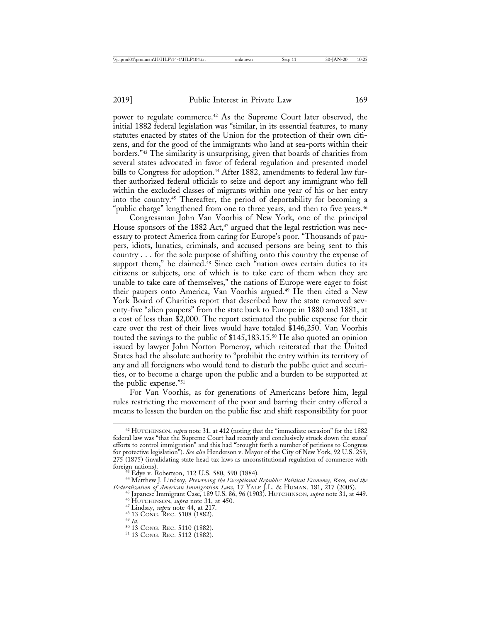power to regulate commerce.42 As the Supreme Court later observed, the initial 1882 federal legislation was "similar, in its essential features, to many statutes enacted by states of the Union for the protection of their own citizens, and for the good of the immigrants who land at sea-ports within their borders."43 The similarity is unsurprising, given that boards of charities from several states advocated in favor of federal regulation and presented model bills to Congress for adoption.<sup>44</sup> After 1882, amendments to federal law further authorized federal officials to seize and deport any immigrant who fell within the excluded classes of migrants within one year of his or her entry into the country.45 Thereafter, the period of deportability for becoming a "public charge" lengthened from one to three years, and then to five years.<sup>46</sup>

Congressman John Van Voorhis of New York, one of the principal House sponsors of the 1882 Act,<sup>47</sup> argued that the legal restriction was necessary to protect America from caring for Europe's poor. "Thousands of paupers, idiots, lunatics, criminals, and accused persons are being sent to this country . . . for the sole purpose of shifting onto this country the expense of support them," he claimed.<sup>48</sup> Since each "nation owes certain duties to its citizens or subjects, one of which is to take care of them when they are unable to take care of themselves," the nations of Europe were eager to foist their paupers onto America, Van Voorhis argued.<sup>49</sup> He then cited a New York Board of Charities report that described how the state removed seventy-five "alien paupers" from the state back to Europe in 1880 and 1881, at a cost of less than \$2,000. The report estimated the public expense for their care over the rest of their lives would have totaled \$146,250. Van Voorhis touted the savings to the public of \$145,183.15.<sup>50</sup> He also quoted an opinion issued by lawyer John Norton Pomeroy, which reiterated that the United States had the absolute authority to "prohibit the entry within its territory of any and all foreigners who would tend to disturb the public quiet and securities, or to become a charge upon the public and a burden to be supported at the public expense."51

For Van Voorhis, as for generations of Americans before him, legal rules restricting the movement of the poor and barring their entry offered a means to lessen the burden on the public fisc and shift responsibility for poor

<sup>42</sup> HUTCHINSON, *supra* note 31, at 412 (noting that the "immediate occasion" for the 1882 federal law was "that the Supreme Court had recently and conclusively struck down the states' efforts to control immigration" and this had "brought forth a number of petitions to Congress for protective legislation"). *See also* Henderson v. Mayor of the City of New York, 92 U.S. 259, 275 (1875) (invalidating state head tax laws as unconstitutional regulation of commerce with

foreign nations). <sup>43</sup> Edye v. Robertson, 112 U.S. 580, 590 (1884). <sup>44</sup> Matthew J. Lindsay, *Preserving the Exceptional Republic: Political Economy, Race, and the*

Federalization of American Immigration Law, 17 YALE J.L. & HUMAN. 181, 217 (2005).<br>
<sup>45</sup> Japanese Immigration Law, 17 YALE J.L. & HUMAN. 181, 217 (2005).<br>
<sup>45</sup> Japanese Immigration Case, 189 U.S. 86, 96 (1903). HUTCHINSON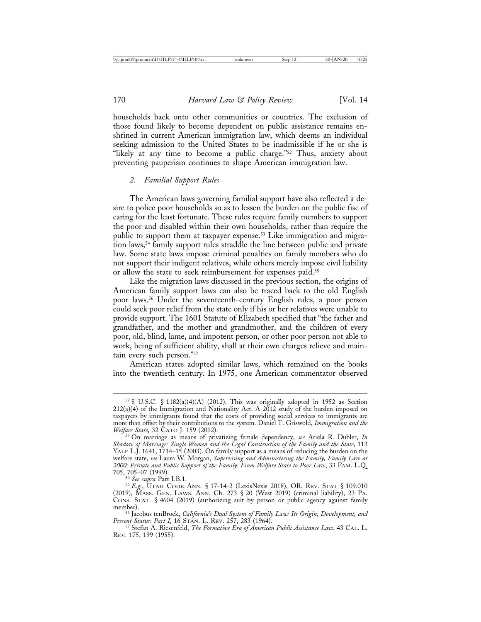households back onto other communities or countries. The exclusion of those found likely to become dependent on public assistance remains enshrined in current American immigration law, which deems an individual seeking admission to the United States to be inadmissible if he or she is "likely at any time to become a public charge."<sup>52</sup> Thus, anxiety about preventing pauperism continues to shape American immigration law.

#### *2. Familial Support Rules*

The American laws governing familial support have also reflected a desire to police poor households so as to lessen the burden on the public fisc of caring for the least fortunate. These rules require family members to support the poor and disabled within their own households, rather than require the public to support them at taxpayer expense.<sup>53</sup> Like immigration and migration laws,54 family support rules straddle the line between public and private law. Some state laws impose criminal penalties on family members who do not support their indigent relatives, while others merely impose civil liability or allow the state to seek reimbursement for expenses paid.<sup>55</sup>

Like the migration laws discussed in the previous section, the origins of American family support laws can also be traced back to the old English poor laws.56 Under the seventeenth-century English rules, a poor person could seek poor relief from the state only if his or her relatives were unable to provide support. The 1601 Statute of Elizabeth specified that "the father and grandfather, and the mother and grandmother, and the children of every poor, old, blind, lame, and impotent person, or other poor person not able to work, being of sufficient ability, shall at their own charges relieve and maintain every such person."57

American states adopted similar laws, which remained on the books into the twentieth century. In 1975, one American commentator observed

 $528$  U.S.C. § 1182(a)(4)(A) (2012). This was originally adopted in 1952 as Section  $212(a)(4)$  of the Immigration and Nationality Act. A  $2012$  study of the burden imposed on taxpayers by immigrants found that the costs of providing social services to immigrants are more than offset by their contributions to the system. Daniel T. Griswold, *Immigration and the*

<sup>&</sup>lt;sup>53</sup> On marriage as means of privatizing female dependency, *see* Ariela R. Dubler, *In Shadow of Marriage: Single Women and the Legal Construction of the Family and the State*, 112 YALE L.J. 1641, 1714–15 (2003). On family support as a means of reducing the burden on the welfare state, *see* Laura W. Morgan, *Supervising and Administering the Family, Family Law at 2000: Private and Public Support of the Family: From Welfare State to Poor Law*, 33 FAM. L.Q.

<sup>705, 705</sup>–07 (1999). <sup>54</sup> *See supra* Part I.B.1. <sup>55</sup> *E.g.*, UTAH CODE ANN. § 17-14-2 (LexisNexis 2018), OR. REV. STAT § 109.010 (2019), MASS. GEN. LAWS. ANN. Ch. 273 § 20 (West 2019) (criminal liability), 23 PA. CONS. STAT. § 4604 (2019) (authorizing suit by person or public agency against family

<sup>&</sup>lt;sup>56</sup> Jacobus tenBroek, *California's Dual System of Family Law: Its Origin, Development, and* Present Status: Part I, 16 STAN. L. REV. 257, 283 (1964).

<sup>&</sup>lt;sup>57</sup> Stefan A. Riesenfeld, *The Formative Era of American Public Assistance Law*, 43 CAL. L. REV. 175, 199 (1955).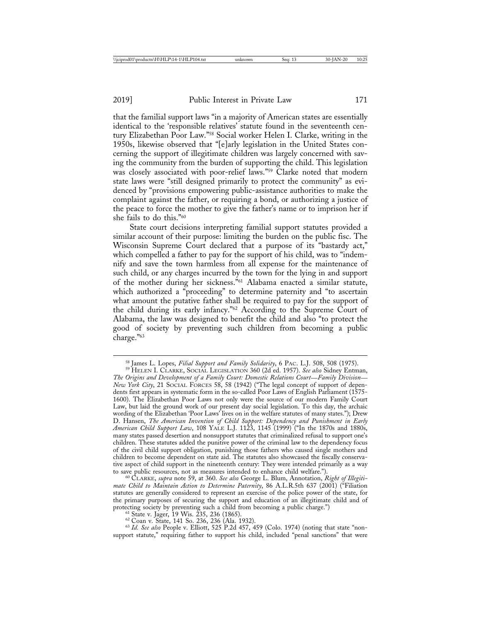that the familial support laws "in a majority of American states are essentially identical to the 'responsible relatives' statute found in the seventeenth century Elizabethan Poor Law."<sup>58</sup> Social worker Helen I. Clarke, writing in the 1950s, likewise observed that "[e]arly legislation in the United States concerning the support of illegitimate children was largely concerned with saving the community from the burden of supporting the child. This legislation was closely associated with poor-relief laws."59 Clarke noted that modern state laws were "still designed primarily to protect the community" as evidenced by "provisions empowering public-assistance authorities to make the complaint against the father, or requiring a bond, or authorizing a justice of the peace to force the mother to give the father's name or to imprison her if she fails to do this."60

State court decisions interpreting familial support statutes provided a similar account of their purpose: limiting the burden on the public fisc. The Wisconsin Supreme Court declared that a purpose of its "bastardy act," which compelled a father to pay for the support of his child, was to "indemnify and save the town harmless from all expense for the maintenance of such child, or any charges incurred by the town for the lying in and support of the mother during her sickness."61 Alabama enacted a similar statute, which authorized a "proceeding" to determine paternity and "to ascertain what amount the putative father shall be required to pay for the support of the child during its early infancy."62 According to the Supreme Court of Alabama, the law was designed to benefit the child and also "to protect the good of society by preventing such children from becoming a public charge."63

to save public resources, not as measures intended to enhance child welfare."). <sup>60</sup> CLARKE, *supra* note 59, at 360. *See also* George L. Blum, Annotation, *Right of Illegitimate Child to Maintain Action to Determine Paternity*, 86 A.L.R.5th 637 (2001) ("Filiation statutes are generally considered to represent an exercise of the police power of the state, for the primary purposes of securing the support and education of an illegitimate child and of protecting society by preventing such a child from becoming a public charge.")<br>
<sup>61</sup> State v. Jager, 19 Wis. 235, 236 (1865).<br>
<sup>62</sup> Coan v. State, 141 So. 236, 236 (Ala. 1932).<br>
<sup>63</sup> Id. See also People v. Elliott, 525 P.2

support statute," requiring father to support his child, included "penal sanctions" that were

<sup>&</sup>lt;sup>58</sup> James L. Lopes, *Filial Support and Family Solidarity*, 6 PAC. L.J. 508, 508 (1975).<br><sup>59</sup> HELEN I. CLARKE, SOCIAL LEGISLATION 360 (2d ed. 1957). *See also* Sidney Entman,

*The Origins and Development of a Family Court: Domestic Relations Court*—*Family Division*— *New York City*, 21 SOCIAL FORCES 58, 58 (1942) ("The legal concept of support of dependents first appears in systematic form in the so-called Poor Laws of English Parliament (1575- 1600). The Elizabethan Poor Laws not only were the source of our modern Family Court Law, but laid the ground work of our present day social legislation. To this day, the archaic wording of the Elizabethan 'Poor Laws' lives on in the welfare statutes of many states."); Drew D. Hansen, *The American Invention of Child Support: Dependency and Punishment in Early American Child Support Law*, 108 YALE L.J. 1123, 1145 (1999) ("In the 1870s and 1880s, many states passed desertion and nonsupport statutes that criminalized refusal to support one's children. These statutes added the punitive power of the criminal law to the dependency focus of the civil child support obligation, punishing those fathers who caused single mothers and children to become dependent on state aid. The statutes also showcased the fiscally conservative aspect of child support in the nineteenth century: They were intended primarily as a way to save public resources, not as measures intended to enhance child welfare.").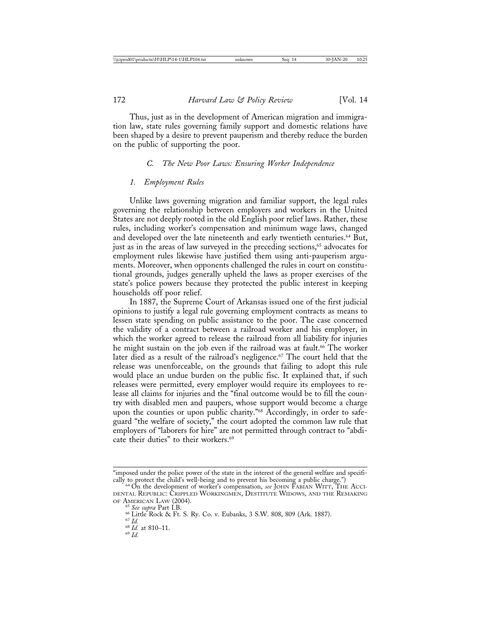Thus, just as in the development of American migration and immigration law, state rules governing family support and domestic relations have been shaped by a desire to prevent pauperism and thereby reduce the burden on the public of supporting the poor.

#### *C. The New Poor Laws: Ensuring Worker Independence*

#### *1. Employment Rules*

Unlike laws governing migration and familiar support, the legal rules governing the relationship between employers and workers in the United States are not deeply rooted in the old English poor relief laws. Rather, these rules, including worker's compensation and minimum wage laws, changed and developed over the late nineteenth and early twentieth centuries.64 But, just as in the areas of law surveyed in the preceding sections,<sup>65</sup> advocates for employment rules likewise have justified them using anti-pauperism arguments. Moreover, when opponents challenged the rules in court on constitutional grounds, judges generally upheld the laws as proper exercises of the state's police powers because they protected the public interest in keeping households off poor relief.

In 1887, the Supreme Court of Arkansas issued one of the first judicial opinions to justify a legal rule governing employment contracts as means to lessen state spending on public assistance to the poor. The case concerned the validity of a contract between a railroad worker and his employer, in which the worker agreed to release the railroad from all liability for injuries he might sustain on the job even if the railroad was at fault.<sup>66</sup> The worker later died as a result of the railroad's negligence.<sup>67</sup> The court held that the release was unenforceable, on the grounds that failing to adopt this rule would place an undue burden on the public fisc. It explained that, if such releases were permitted, every employer would require its employees to release all claims for injuries and the "final outcome would be to fill the country with disabled men and paupers, whose support would become a charge upon the counties or upon public charity."<sup>68</sup> Accordingly, in order to safeguard "the welfare of society," the court adopted the common law rule that employers of "laborers for hire" are not permitted through contract to "abdicate their duties" to their workers.<sup>69</sup>

<sup>&</sup>quot;imposed under the police power of the state in the interest of the general welfare and specifi-<br>cally to protect the child's well-being and to prevent his becoming a public charge.")

<sup>&</sup>lt;sup>64</sup> On the development of worker's compensation, *see* JOHN FABIAN WITT, THE ACCI-DENTAL REPUBLIC: CRIPPLED WORKINGMEN, DESTITUTE WIDOWS, AND THE REMAKING OF AMERICAN LAW (2004).

<sup>&</sup>lt;sup>65</sup> See supra Part I.B.<br><sup>66</sup> Little Rock & Ft. S. Ry. Co. v. Eubanks, 3 S.W. 808, 809 (Ark. 1887).<br><sup>67</sup> *Id.* 68 *Id.* at 810–11. 69 *Id.*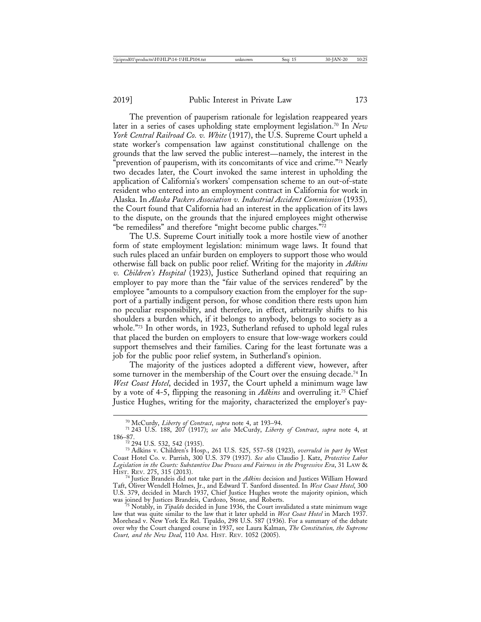The prevention of pauperism rationale for legislation reappeared years later in a series of cases upholding state employment legislation.<sup>70</sup> In *New York Central Railroad Co. v. White* (1917), the U.S. Supreme Court upheld a state worker's compensation law against constitutional challenge on the grounds that the law served the public interest—namely, the interest in the prevention of pauperism, with its concomitants of vice and crime."<sup>71</sup> Nearly two decades later, the Court invoked the same interest in upholding the application of California's workers' compensation scheme to an out-of-state resident who entered into an employment contract in California for work in Alaska. In *Alaska Packers Association v. Industrial Accident Commission* (1935)*,* the Court found that California had an interest in the application of its laws to the dispute, on the grounds that the injured employees might otherwise "be remediless" and therefore "might become public charges." $\bar{72}$ 

The U.S. Supreme Court initially took a more hostile view of another form of state employment legislation: minimum wage laws. It found that such rules placed an unfair burden on employers to support those who would otherwise fall back on public poor relief. Writing for the majority in *Adkins v. Children's Hospital* (1923), Justice Sutherland opined that requiring an employer to pay more than the "fair value of the services rendered" by the employee "amounts to a compulsory exaction from the employer for the support of a partially indigent person, for whose condition there rests upon him no peculiar responsibility, and therefore, in effect, arbitrarily shifts to his shoulders a burden which, if it belongs to anybody, belongs to society as a whole."73 In other words, in 1923, Sutherland refused to uphold legal rules that placed the burden on employers to ensure that low-wage workers could support themselves and their families. Caring for the least fortunate was a job for the public poor relief system, in Sutherland's opinion.

The majority of the justices adopted a different view, however, after some turnover in the membership of the Court over the ensuing decade.<sup>74</sup> In *West Coast Hotel*, decided in 1937, the Court upheld a minimum wage law by a vote of 4-5, flipping the reasoning in *Adkins* and overruling it.75 Chief Justice Hughes, writing for the majority, characterized the employer's pay-

Taft, Oliver Wendell Holmes, Jr., and Edward T. Sanford dissented. In *West Coast Hotel*, 300 U.S. 379, decided in March 1937, Chief Justice Hughes wrote the majority opinion, which

<sup>5</sup> Notably, in *Tipaldo* decided in June 1936, the Court invalidated a state minimum wage law that was quite similar to the law that it later upheld in *West Coast Hotel* in March 1937. Morehead v. New York Ex Rel. Tipaldo, 298 U.S. 587 (1936). For a summary of the debate over why the Court changed course in 1937, see Laura Kalman, *The Constitution, the Supreme Court, and the New Deal*, 110 AM. HIST. REV. 1052 (2005).

<sup>70</sup> McCurdy, *Liberty of Contract*, *supra* note 4, at 193–94. <sup>71</sup> 243 U.S. 188, 207 (1917); *see also* McCurdy, *Liberty of Contract*, *supra* note 4, at 186–87.<br><sup>72</sup> 294 U.S. 532, 542 (1935).

<sup>&</sup>lt;sup>73</sup> Adkins v. Children's Hosp., 261 U.S. 525, 557-58 (1923), overruled in part by West Coast Hotel Co. v. Parrish, 300 U.S. 379 (1937). *See also* Claudio J. Katz, *Protective Labor Legislation in the Courts: Substantive Due Process and Fairness in the Progressive Era*, 31 LAW & HIST. REV. 275, 315 (2013).<br><sup>74</sup> Justice Brandeis did not take part in the *Adkins* decision and Justices William Howard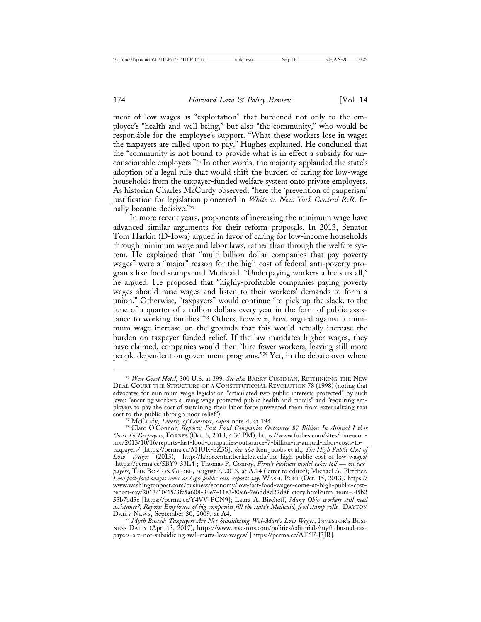ment of low wages as "exploitation" that burdened not only to the employee's "health and well being," but also "the community," who would be responsible for the employee's support. "What these workers lose in wages the taxpayers are called upon to pay," Hughes explained. He concluded that the "community is not bound to provide what is in effect a subsidy for unconscionable employers."76 In other words, the majority applauded the state's adoption of a legal rule that would shift the burden of caring for low-wage households from the taxpayer-funded welfare system onto private employers. As historian Charles McCurdy observed, "here the 'prevention of pauperism' justification for legislation pioneered in *White v. New York Central R.R.* finally became decisive."77

In more recent years, proponents of increasing the minimum wage have advanced similar arguments for their reform proposals. In 2013, Senator Tom Harkin (D-Iowa) argued in favor of caring for low-income households through minimum wage and labor laws, rather than through the welfare system. He explained that "multi-billion dollar companies that pay poverty wages" were a "major" reason for the high cost of federal anti-poverty programs like food stamps and Medicaid. "Underpaying workers affects us all," he argued. He proposed that "highly-profitable companies paying poverty wages should raise wages and listen to their workers' demands to form a union." Otherwise, "taxpayers" would continue "to pick up the slack, to the tune of a quarter of a trillion dollars every year in the form of public assistance to working families."78 Others, however, have argued against a minimum wage increase on the grounds that this would actually increase the burden on taxpayer-funded relief. If the law mandates higher wages, they have claimed, companies would then "hire fewer workers, leaving still more people dependent on government programs."79 Yet, in the debate over where

<sup>76</sup> *West Coast Hotel*, 300 U.S. at 399. *See also* BARRY CUSHMAN, RETHINKING THE NEW DEAL COURT THE STRUCTURE OF A CONSTITUTIONAL REVOLUTION 78 (1998) (noting that advocates for minimum wage legislation "articulated two public interests protected" by such laws: "ensuring workers a living wage protected public health and morals" and "requiring employers to pay the cost of sustaining their labor force prevented them from externalizing that cost to the public through poor relief").<br>
<sup>77</sup> McCurdy, *Liberty of Contract*, *supra* note 4, at 194.<br>
<sup>78</sup> Clare O'Connor, *Reports: Fast Food Companies Outsource \$7 Billion In Annual Labor* 

*Costs To Taxpayers*, FORBES (Oct. 6, 2013, 4:30 PM), https://www.forbes.com/sites/clareoconnor/2013/10/16/reports-fast-food-companies-outsource-7-billion-in-annual-labor-costs-totaxpayers/ [https://perma.cc/M4UR-SZ5S]. *See also* Ken Jacobs et al., *The High Public Cost of Low Wages* (2015), http://laborcenter.berkeley.edu/the-high-public-cost-of-low-wages/ [https://perma.cc/5BY9-33L4]; Thomas P. Conroy, *Firm's business model takes toll* — *on tax*payers, THE BOSTON GLOBE, August 7, 2013, at A.14 (letter to editor); Michael A. Fletcher, *Low fast-food wages come at high public cost, reports say*, WASH. POST (Oct. 15, 2013), https:// www.washingtonpost.com/business/economy/low-fast-food-wages-come-at-high-public-costreport-say/2013/10/15/3fc5a608-34e7-11e3-80c6-7e6dd8d22d8f\_story.html?utm\_term=.45b2 55b7bd5c [https://perma.cc/Y4VV-PCN9]; Laura A. Bischoff, *Many Ohio workers still need assistance?; Report: Employees of big companies fill the state's Medicaid, food stamp rolls.*, DAYTON

<sup>&</sup>lt;sup>79</sup> Myth Busted: Taxpayers Are Not Subsidizing Wal-Mart's Low Wages, INVESTOR'S BUSI-NESS DAILY (Apr. 13, 2017), https://www.investors.com/politics/editorials/myth-busted-taxpayers-are-not-subsidizing-wal-marts-low-wages/ [https://perma.cc/AT6F-J3JR].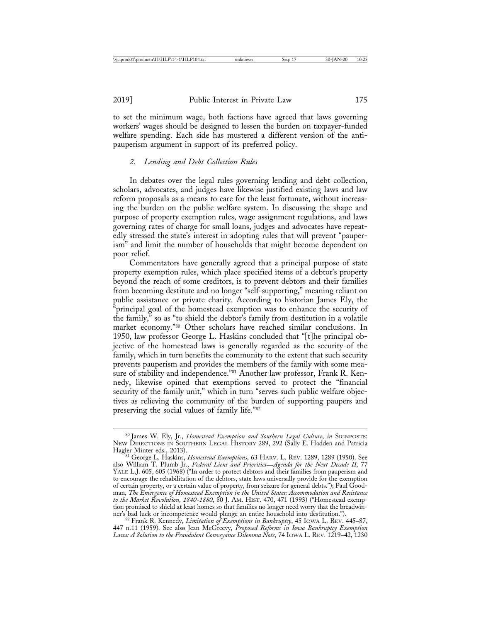to set the minimum wage, both factions have agreed that laws governing workers' wages should be designed to lessen the burden on taxpayer-funded welfare spending. Each side has mustered a different version of the antipauperism argument in support of its preferred policy.

### *2. Lending and Debt Collection Rules*

In debates over the legal rules governing lending and debt collection, scholars, advocates, and judges have likewise justified existing laws and law reform proposals as a means to care for the least fortunate, without increasing the burden on the public welfare system. In discussing the shape and purpose of property exemption rules, wage assignment regulations, and laws governing rates of charge for small loans, judges and advocates have repeatedly stressed the state's interest in adopting rules that will prevent "pauperism" and limit the number of households that might become dependent on poor relief.

Commentators have generally agreed that a principal purpose of state property exemption rules, which place specified items of a debtor's property beyond the reach of some creditors, is to prevent debtors and their families from becoming destitute and no longer "self-supporting," meaning reliant on public assistance or private charity. According to historian James Ely, the "principal goal of the homestead exemption was to enhance the security of the family," so as "to shield the debtor's family from destitution in a volatile market economy."80 Other scholars have reached similar conclusions. In 1950, law professor George L. Haskins concluded that "[t]he principal objective of the homestead laws is generally regarded as the security of the family, which in turn benefits the community to the extent that such security prevents pauperism and provides the members of the family with some measure of stability and independence."<sup>81</sup> Another law professor, Frank R. Kennedy, likewise opined that exemptions served to protect the "financial security of the family unit," which in turn "serves such public welfare objectives as relieving the community of the burden of supporting paupers and preserving the social values of family life."82

<sup>80</sup> James W. Ely, Jr., *Homestead Exemption and Southern Legal Culture*, *in* SIGNPOSTS: NEW DIRECTIONS IN SOUTHERN LEGAL HISTORY 289, 292 (Sally E. Hadden and Patricia

Hagler Minter eds., 2013).<br><sup>81</sup> George L. Haskins, *Homestead Exemptions*, 63 HARV. L. REV. 1289, 1289 (1950). See also William T. Plumb Jr., *Federal Liens and Priorities*—*Agenda for the Next Decade II*, 77 YALE L.J. 605, 605 (1968) ("In order to protect debtors and their families from pauperism and to encourage the rehabilitation of the debtors, state laws universally provide for the exemption of certain property, or a certain value of property, from seizure for general debts."); Paul Goodman, *The Emergence of Homestead Exemption in the United States: Accommodation and Resistance to the Market Revolution, 1840-1880*, 80 J. AM. HIST. 470, 471 (1993) ("Homestead exemption promised to shield at least homes so that families no longer need worry that the breadwin-<br>ner's bad luck or incompetence would plunge an entire household into destitution."). ner's bad luck or incompetence would plunge an entire household into destitution."). <sup>82</sup> Frank R. Kennedy, *Limitation of Exemptions in Bankruptcy*, 45 IOWA L. REV. 445–87,

<sup>447</sup> n.11 (1959). See also Jean McGreevy, *Proposed Reforms in Iowa Bankruptcy Exemption Laws: A Solution to the Fraudulent Conveyance Dilemma Note*, 74 IOWA L. REV. 1219–42, 1230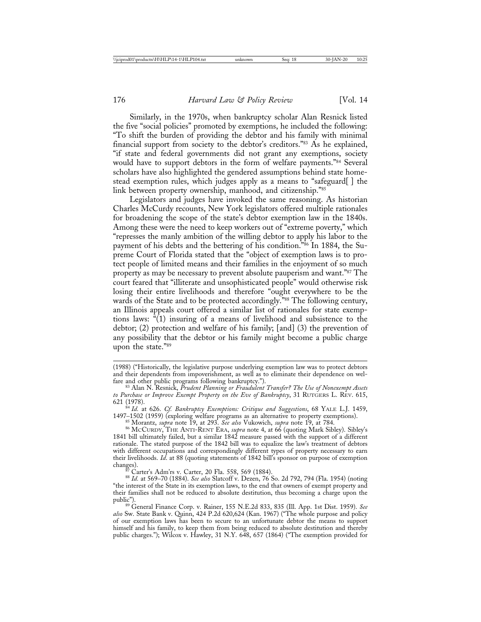Similarly, in the 1970s, when bankruptcy scholar Alan Resnick listed the five "social policies" promoted by exemptions, he included the following: "To shift the burden of providing the debtor and his family with minimal financial support from society to the debtor's creditors."83 As he explained, "if state and federal governments did not grant any exemptions, society would have to support debtors in the form of welfare payments."<sup>84</sup> Several scholars have also highlighted the gendered assumptions behind state homestead exemption rules, which judges apply as a means to "safeguard[ ] the link between property ownership, manhood, and citizenship."85

Legislators and judges have invoked the same reasoning. As historian Charles McCurdy recounts, New York legislators offered multiple rationales for broadening the scope of the state's debtor exemption law in the 1840s. Among these were the need to keep workers out of "extreme poverty," which "represses the manly ambition of the willing debtor to apply his labor to the payment of his debts and the bettering of his condition."86 In 1884, the Supreme Court of Florida stated that the "object of exemption laws is to protect people of limited means and their families in the enjoyment of so much property as may be necessary to prevent absolute pauperism and want."87 The court feared that "illiterate and unsophisticated people" would otherwise risk losing their entire livelihoods and therefore "ought everywhere to be the wards of the State and to be protected accordingly."88 The following century, an Illinois appeals court offered a similar list of rationales for state exemptions laws:  $\sqrt[n]{1}$  insuring of a means of livelihood and subsistence to the debtor; (2) protection and welfare of his family; [and] (3) the prevention of any possibility that the debtor or his family might become a public charge upon the state."89

621 (1978). <sup>84</sup> *Id.* at 626. *Cf. Bankruptcy Exemptions: Critique and Suggestions*, 68 YALE L.J. 1459, 1497–1502 (1959) (exploring welfare programs as an alternative to property exemptions).

<sup>85</sup> Morantz, *supra* note 19, at 293. *See also* Vukowich, *supra* note 19, at 784. <br><sup>86</sup> MCCURDY, THE ANTI-RENT ERA, *supra* note 4, at 66 (quoting Mark Sibley). Sibley's 1841 bill ultimately failed, but a similar 1842 measure passed with the support of a different rationale. The stated purpose of the 1842 bill was to equalize the law's treatment of debtors with different occupations and correspondingly different types of property necessary to earn their livelihoods. *Id.* at 88 (quoting statements of 1842 bill's sponsor on purpose of exemption changes).

changes). <sup>87</sup> Carter's Adm'rs v. Carter, 20 Fla. 558, 569 (1884). <sup>88</sup> *Id.* at 569–70 (1884). *See also* Slatcoff v. Dezen, 76 So. 2d 792, 794 (Fla. 1954) (noting "the interest of the State in its exemption laws, to the end that owners of exempt property and their families shall not be reduced to absolute destitution, thus becoming a charge upon the

<sup>89</sup> General Finance Corp. v. Rainer, 155 N.E.2d 833, 835 (Ill. App. 1st Dist. 1959). See *also* Sw. State Bank v. Quinn, 424 P.2d 620,624 (Kan. 1967) ("The whole purpose and policy of our exemption laws has been to secure to an unfortunate debtor the means to support himself and his family, to keep them from being reduced to absolute destitution and thereby public charges."); Wilcox v. Hawley, 31 N.Y. 648, 657 (1864) ("The exemption provided for

<sup>(1988) (&</sup>quot;Historically, the legislative purpose underlying exemption law was to protect debtors and their dependents from impoverishment, as well as to eliminate their dependence on welfare and other public programs following bankruptcy.").<br><sup>83</sup> Alan N. Resnick, *Prudent Planning or Fraudulent Transfer? The Use of Nonexempt Assets* 

*to Purchase or Improve Exempt Property on the Eve of Bankruptcy*, 31 RUTGERS L. REV. 615,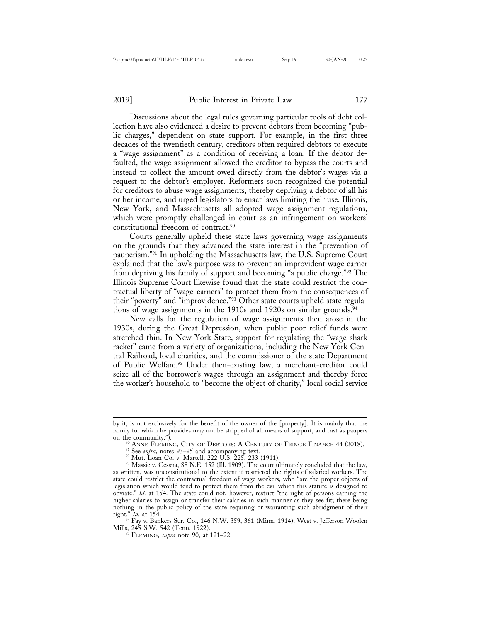Discussions about the legal rules governing particular tools of debt collection have also evidenced a desire to prevent debtors from becoming "public charges," dependent on state support. For example, in the first three decades of the twentieth century, creditors often required debtors to execute a "wage assignment" as a condition of receiving a loan. If the debtor defaulted, the wage assignment allowed the creditor to bypass the courts and instead to collect the amount owed directly from the debtor's wages via a request to the debtor's employer. Reformers soon recognized the potential for creditors to abuse wage assignments, thereby depriving a debtor of all his or her income, and urged legislators to enact laws limiting their use. Illinois, New York, and Massachusetts all adopted wage assignment regulations, which were promptly challenged in court as an infringement on workers' constitutional freedom of contract.90

Courts generally upheld these state laws governing wage assignments on the grounds that they advanced the state interest in the "prevention of pauperism."91 In upholding the Massachusetts law, the U.S. Supreme Court explained that the law's purpose was to prevent an improvident wage earner from depriving his family of support and becoming "a public charge."92 The Illinois Supreme Court likewise found that the state could restrict the contractual liberty of "wage-earners" to protect them from the consequences of their "poverty" and "improvidence."93 Other state courts upheld state regulations of wage assignments in the 1910s and 1920s on similar grounds.<sup>94</sup>

New calls for the regulation of wage assignments then arose in the 1930s, during the Great Depression, when public poor relief funds were stretched thin. In New York State, support for regulating the "wage shark racket" came from a variety of organizations, including the New York Central Railroad, local charities, and the commissioner of the state Department of Public Welfare.<sup>95</sup> Under then-existing law, a merchant-creditor could seize all of the borrower's wages through an assignment and thereby force the worker's household to "become the object of charity," local social service

right." *Id.* at 154.<br><sup>94</sup> Fay v. Bankers Sur. Co., 146 N.W. 359, 361 (Minn. 1914); West v. Jefferson Woolen

 $\frac{95}{5}$  FLEMING, *supra* note 90, at 121–22.

by it, is not exclusively for the benefit of the owner of the [property]. It is mainly that the family for which he provides may not be stripped of all means of support, and cast as paupers

<sup>&</sup>lt;sup>90</sup> ANNE FLEMING, CITY OF DEBTORS: A CENTURY OF FRINGE FINANCE 44 (2018).<br><sup>91</sup> See *infra*, notes 93–95 and accompanying text.<br><sup>92</sup> Mut. Loan Co. v. Martell, 222 U.S. 225, 233 (1911).<br><sup>93</sup> Massie v. Cessna, 88 N.E. 152 ( as written, was unconstitutional to the extent it restricted the rights of salaried workers. The state could restrict the contractual freedom of wage workers, who "are the proper objects of legislation which would tend to protect them from the evil which this statute is designed to obviate." *Id.* at 154. The state could not, however, restrict "the right of persons earning the higher salaries to assign or transfer their salaries in such manner as they see fit; there being nothing in the public policy of the state requiring or warranting such abridgment of their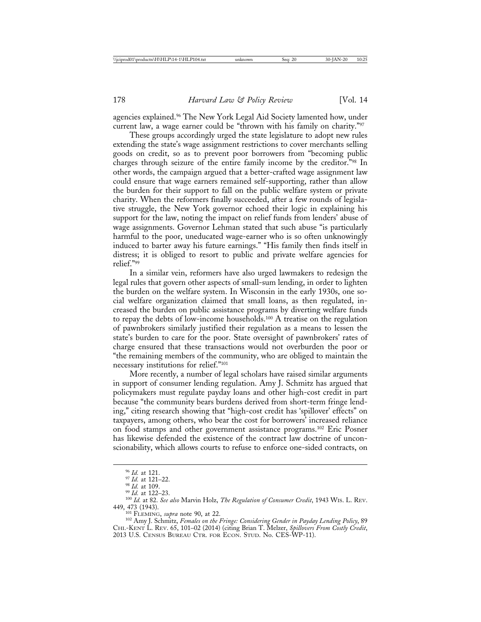agencies explained.<sup>96</sup> The New York Legal Aid Society lamented how, under current law, a wage earner could be "thrown with his family on charity."97

These groups accordingly urged the state legislature to adopt new rules extending the state's wage assignment restrictions to cover merchants selling goods on credit, so as to prevent poor borrowers from "becoming public charges through seizure of the entire family income by the creditor."98 In other words, the campaign argued that a better-crafted wage assignment law could ensure that wage earners remained self-supporting, rather than allow the burden for their support to fall on the public welfare system or private charity. When the reformers finally succeeded, after a few rounds of legislative struggle, the New York governor echoed their logic in explaining his support for the law, noting the impact on relief funds from lenders' abuse of wage assignments. Governor Lehman stated that such abuse "is particularly harmful to the poor, uneducated wage-earner who is so often unknowingly induced to barter away his future earnings." "His family then finds itself in distress; it is obliged to resort to public and private welfare agencies for relief."99

In a similar vein, reformers have also urged lawmakers to redesign the legal rules that govern other aspects of small-sum lending, in order to lighten the burden on the welfare system. In Wisconsin in the early 1930s, one social welfare organization claimed that small loans, as then regulated, increased the burden on public assistance programs by diverting welfare funds to repay the debts of low-income households.100 A treatise on the regulation of pawnbrokers similarly justified their regulation as a means to lessen the state's burden to care for the poor. State oversight of pawnbrokers' rates of charge ensured that these transactions would not overburden the poor or "the remaining members of the community, who are obliged to maintain the necessary institutions for relief."101

More recently, a number of legal scholars have raised similar arguments in support of consumer lending regulation. Amy J. Schmitz has argued that policymakers must regulate payday loans and other high-cost credit in part because "the community bears burdens derived from short-term fringe lending," citing research showing that "high-cost credit has 'spillover' effects" on taxpayers, among others, who bear the cost for borrowers' increased reliance on food stamps and other government assistance programs.102 Eric Posner has likewise defended the existence of the contract law doctrine of unconscionability, which allows courts to refuse to enforce one-sided contracts, on

<sup>&</sup>lt;sup>96</sup> *Id.* at 121.<br><sup>97</sup> *Id.* at 121–22.<br><sup>98</sup> *Id.* at 109.<br><sup>99</sup> *Id.* at 82. *See also* Marvin Holz, *The Regulation of Consumer Credit*, 1943 WIs. L. REV.<br>449, 473 (1943). 449, 473 (1943). <sup>101</sup> FLEMING, *supra* note 90, at 22. <sup>102</sup> Amy J. Schmitz, *Females on the Fringe: Considering Gender in Payday Lending Policy*, 89

CHI.-KENT L. REV. 65, 101–02 (2014) (citing Brian T. Melzer, *Spillovers From Costly Credit*, 2013 U.S. CENSUS BUREAU CTR. FOR ECON. STUD. No. CES-WP-11).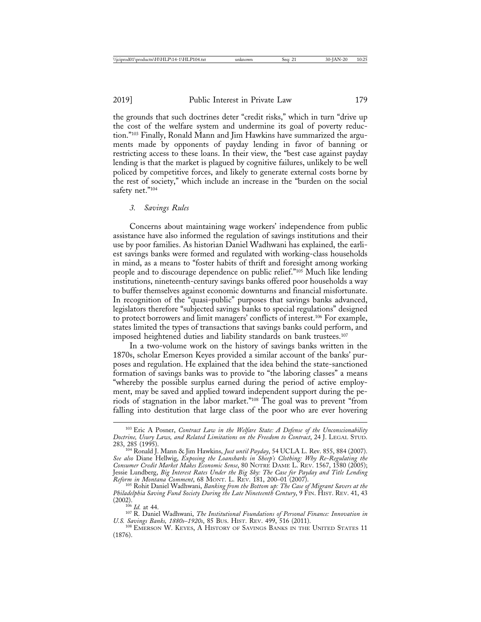the grounds that such doctrines deter "credit risks," which in turn "drive up the cost of the welfare system and undermine its goal of poverty reduction."103 Finally, Ronald Mann and Jim Hawkins have summarized the arguments made by opponents of payday lending in favor of banning or restricting access to these loans. In their view, the "best case against payday lending is that the market is plagued by cognitive failures, unlikely to be well policed by competitive forces, and likely to generate external costs borne by the rest of society," which include an increase in the "burden on the social safety net."104

#### *3. Savings Rules*

Concerns about maintaining wage workers' independence from public assistance have also informed the regulation of savings institutions and their use by poor families. As historian Daniel Wadhwani has explained, the earliest savings banks were formed and regulated with working-class households in mind, as a means to "foster habits of thrift and foresight among working people and to discourage dependence on public relief."105 Much like lending institutions, nineteenth-century savings banks offered poor households a way to buffer themselves against economic downturns and financial misfortunate. In recognition of the "quasi-public" purposes that savings banks advanced, legislators therefore "subjected savings banks to special regulations" designed to protect borrowers and limit managers' conflicts of interest.106 For example, states limited the types of transactions that savings banks could perform, and imposed heightened duties and liability standards on bank trustees.<sup>107</sup>

In a two-volume work on the history of savings banks written in the 1870s, scholar Emerson Keyes provided a similar account of the banks' purposes and regulation. He explained that the idea behind the state-sanctioned formation of savings banks was to provide to "the laboring classes" a means "whereby the possible surplus earned during the period of active employment, may be saved and applied toward independent support during the periods of stagnation in the labor market."108 The goal was to prevent "from falling into destitution that large class of the poor who are ever hovering

<sup>103</sup> Eric A Posner, *Contract Law in the Welfare State: A Defense of the Unconscionability Doctrine, Usury Laws, and Related Limitations on the Freedom to Contract*, 24 J. LEGAL STUD.

<sup>&</sup>lt;sup>104</sup> Ronald J. Mann & Jim Hawkins, *Just until Payday*, 54 UCLA L. Rev. 855, 884 (2007). *See also* Diane Hellwig, *Exposing the Loansharks in Sheep's Clothing: Why Re-Regulating the Consumer Credit Market Makes Economic Sense*, 80 NOTRE DAME L. REV. 1567, 1580 (2005); Jessie Lundberg, *Big Interest Rates Under the Big Sky: The Case for Payday and Title Lending Reform in Montana Comment*, 68 MONT. L. REV. 181, 200–01 (2007). <sup>105</sup> Rohit Daniel Wadhwani, *Banking from the Bottom up: The Case of Migrant Savers at the*

*Philadelphia Saving Fund Society During the Late Nineteenth Century*, 9 FIN. HIST. REV. 41, 43

<sup>(2002).</sup> <sup>106</sup> *Id.* at 44. <sup>107</sup> R. Daniel Wadhwani, *The Institutional Foundations of Personal Finance: Innovation in*

<sup>&</sup>lt;sup>108</sup> EMERSON W. KEYES, A HISTORY OF SAVINGS BANKS IN THE UNITED STATES 11 (1876).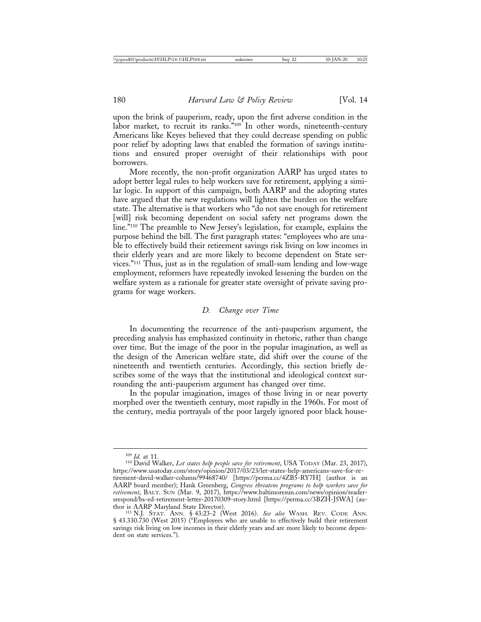upon the brink of pauperism, ready, upon the first adverse condition in the labor market, to recruit its ranks."<sup>109</sup> In other words, nineteenth-century Americans like Keyes believed that they could decrease spending on public poor relief by adopting laws that enabled the formation of savings institutions and ensured proper oversight of their relationships with poor borrowers.

More recently, the non-profit organization AARP has urged states to adopt better legal rules to help workers save for retirement, applying a similar logic. In support of this campaign, both AARP and the adopting states have argued that the new regulations will lighten the burden on the welfare state. The alternative is that workers who "do not save enough for retirement [will] risk becoming dependent on social safety net programs down the line."110 The preamble to New Jersey's legislation, for example, explains the purpose behind the bill. The first paragraph states: "employees who are unable to effectively build their retirement savings risk living on low incomes in their elderly years and are more likely to become dependent on State services."111 Thus, just as in the regulation of small-sum lending and low-wage employment, reformers have repeatedly invoked lessening the burden on the welfare system as a rationale for greater state oversight of private saving programs for wage workers.

#### *D. Change over Time*

In documenting the recurrence of the anti-pauperism argument, the preceding analysis has emphasized continuity in rhetoric, rather than change over time. But the image of the poor in the popular imagination, as well as the design of the American welfare state, did shift over the course of the nineteenth and twentieth centuries. Accordingly, this section briefly describes some of the ways that the institutional and ideological context surrounding the anti-pauperism argument has changed over time.

In the popular imagination, images of those living in or near poverty morphed over the twentieth century, most rapidly in the 1960s. For most of the century, media portrayals of the poor largely ignored poor black house-

<sup>109</sup> *Id.* at 11. <sup>110</sup> David Walker, *Let states help people save for retirement*, USA TODAY (Mar. 23, 2017), https://www.usatoday.com/story/opinion/2017/03/23/let-states-help-americans-save-for-retirement-david-walker-column/99468740/ [https://perma.cc/4ZB5-RY7H] (author is an AARP board member); Hank Greenberg, *Congress threatens programs to help workers save for retirement*, BALT. SUN (Mar. 9, 2017), https://www.baltimoresun.com/news/opinion/readersrespond/bs-ed-retirement-letter-20170309-story.html [https://perma.cc/3BZH-J5WA] (au-<br>thor is AARP Maryland State Director).

<sup>111</sup> N.J. Stat. Ann. § 43:23-2 (West 2016). See also WASH. REV. CODE Ann. § 43.330.730 (West 2015) ("Employees who are unable to effectively build their retirement savings risk living on low incomes in their elderly years and are more likely to become dependent on state services.").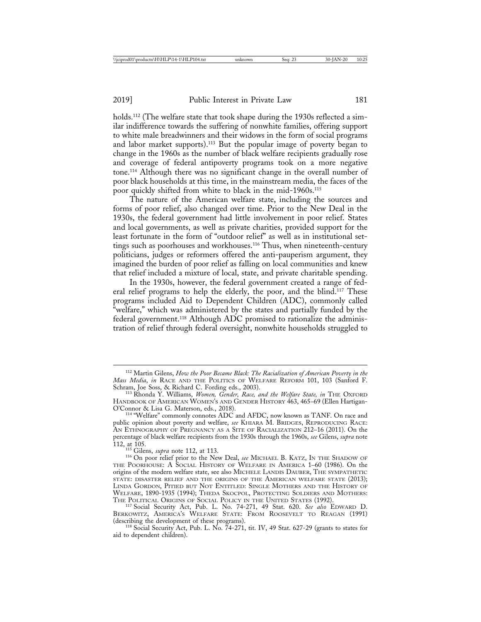holds.<sup>112</sup> (The welfare state that took shape during the 1930s reflected a similar indifference towards the suffering of nonwhite families, offering support to white male breadwinners and their widows in the form of social programs and labor market supports).113 But the popular image of poverty began to change in the 1960s as the number of black welfare recipients gradually rose and coverage of federal antipoverty programs took on a more negative tone.114 Although there was no significant change in the overall number of poor black households at this time, in the mainstream media, the faces of the poor quickly shifted from white to black in the mid-1960s.115

The nature of the American welfare state, including the sources and forms of poor relief, also changed over time. Prior to the New Deal in the 1930s, the federal government had little involvement in poor relief. States and local governments, as well as private charities, provided support for the least fortunate in the form of "outdoor relief" as well as in institutional settings such as poorhouses and workhouses.116 Thus, when nineteenth-century politicians, judges or reformers offered the anti-pauperism argument, they imagined the burden of poor relief as falling on local communities and knew that relief included a mixture of local, state, and private charitable spending.

In the 1930s, however, the federal government created a range of federal relief programs to help the elderly, the poor, and the blind.117 These programs included Aid to Dependent Children (ADC), commonly called "welfare," which was administered by the states and partially funded by the federal government.118 Although ADC promised to rationalize the administration of relief through federal oversight, nonwhite households struggled to

<sup>112</sup> Martin Gilens, *How the Poor Became Black: The Racialization of American Poverty in the Mass Media*, *in* RACE AND THE POLITICS OF WELFARE REFORM 101, 103 (Sanford F. Schram, Joe Soss, & Richard C. Fording eds., 2003). <sup>113</sup> Rhonda Y. Williams, *Women, Gender, Race, and the Welfare State, in* THE OXFORD

HANDBOOK OF AMERICAN WOMEN'S AND GENDER HISTORY 463, 465–69 (Ellen Hartigan-O'Connor & Lisa G. Materson, eds., 2018).

<sup>&</sup>lt;sup>114</sup> "Welfare" commonly connotes ADC and AFDC, now known as TANF. On race and public opinion about poverty and welfare, *see* KHIARA M. BRIDGES, REPRODUCING RACE: AN ETHNOGRAPHY OF PREGNANCY AS A SITE OF RACIALIZATION 212–16 (2011). On the percentage of black welfare recipients from the 1930s through the 1960s, *see* Gilens, *supra* note

<sup>112,</sup> at 105. <sup>115</sup> Gilens, *supra* note 112, at 113. <sup>116</sup> On poor relief prior to the New Deal, *see* MICHAEL B. KATZ, IN THE SHADOW OF THE POORHOUSE: A SOCIAL HISTORY OF WELFARE IN AMERICA 1–60 (1986). On the origins of the modern welfare state, see also MICHELE LANDIS DAUBER, THE SYMPATHETIC STATE: DISASTER RELIEF AND THE ORIGINS OF THE AMERICAN WELFARE STATE (2013); LINDA GORDON, PITIED BUT NOT ENTITLED: SINGLE MOTHERS AND THE HISTORY OF WELFARE, 1890-1935 (1994); THEDA SKOCPOL, PROTECTING SOLDIERS AND MOTHERS: THE POLITICAL ORIGINS OF SOCIAL POLICY IN THE UNITED STATES (1992). <sup>117</sup> Social Security Act, Pub. L. No. 74-271, 49 Stat. 620. *See also* EDWARD D.

BERKOWITZ, AMERICA'S WELFARE STATE: FROM ROOSEVELT TO REAGAN (1991) (describing the development of these programs).

 $118$  Social Security Act, Pub. L. No. 74-271, tit. IV, 49 Stat. 627-29 (grants to states for aid to dependent children).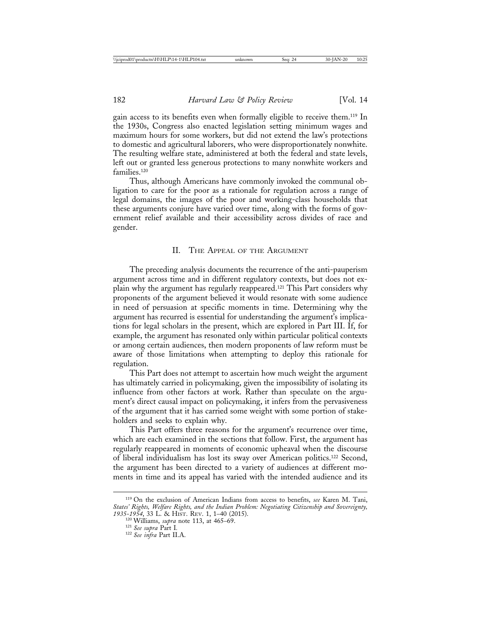gain access to its benefits even when formally eligible to receive them.119 In the 1930s, Congress also enacted legislation setting minimum wages and maximum hours for some workers, but did not extend the law's protections to domestic and agricultural laborers, who were disproportionately nonwhite. The resulting welfare state, administered at both the federal and state levels, left out or granted less generous protections to many nonwhite workers and families.<sup>120</sup>

Thus, although Americans have commonly invoked the communal obligation to care for the poor as a rationale for regulation across a range of legal domains, the images of the poor and working-class households that these arguments conjure have varied over time, along with the forms of government relief available and their accessibility across divides of race and gender.

#### II. THE APPEAL OF THE ARGUMENT

The preceding analysis documents the recurrence of the anti-pauperism argument across time and in different regulatory contexts, but does not explain why the argument has regularly reappeared.121 This Part considers why proponents of the argument believed it would resonate with some audience in need of persuasion at specific moments in time. Determining why the argument has recurred is essential for understanding the argument's implications for legal scholars in the present, which are explored in Part III. If, for example, the argument has resonated only within particular political contexts or among certain audiences, then modern proponents of law reform must be aware of those limitations when attempting to deploy this rationale for regulation.

This Part does not attempt to ascertain how much weight the argument has ultimately carried in policymaking, given the impossibility of isolating its influence from other factors at work. Rather than speculate on the argument's direct causal impact on policymaking, it infers from the pervasiveness of the argument that it has carried some weight with some portion of stakeholders and seeks to explain why.

This Part offers three reasons for the argument's recurrence over time, which are each examined in the sections that follow. First, the argument has regularly reappeared in moments of economic upheaval when the discourse of liberal individualism has lost its sway over American politics.122 Second, the argument has been directed to a variety of audiences at different moments in time and its appeal has varied with the intended audience and its

<sup>119</sup> On the exclusion of American Indians from access to benefits, *see* Karen M. Tani, *States' Rights, Welfare Rights, and the Indian Problem: Negotiating Citizenship and Sovereignty,*

*<sup>1935-1954</sup>*, 33 L. & HIST. REV. 1, 1–40 (2015). <sup>120</sup> Williams, *supra* note 113, at 465–69. <sup>121</sup> *See supra* Part I*.* <sup>122</sup> *See infra* Part II.A.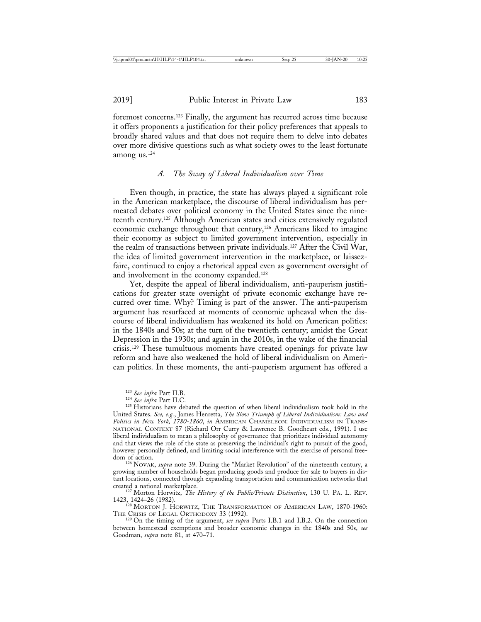foremost concerns.123 Finally, the argument has recurred across time because it offers proponents a justification for their policy preferences that appeals to broadly shared values and that does not require them to delve into debates over more divisive questions such as what society owes to the least fortunate among us.124

#### *A. The Sway of Liberal Individualism over Time*

Even though, in practice, the state has always played a significant role in the American marketplace, the discourse of liberal individualism has permeated debates over political economy in the United States since the nineteenth century.125 Although American states and cities extensively regulated economic exchange throughout that century,126 Americans liked to imagine their economy as subject to limited government intervention, especially in the realm of transactions between private individuals.127 After the Civil War, the idea of limited government intervention in the marketplace, or laissezfaire, continued to enjoy a rhetorical appeal even as government oversight of and involvement in the economy expanded.<sup>128</sup>

Yet, despite the appeal of liberal individualism, anti-pauperism justifications for greater state oversight of private economic exchange have recurred over time. Why? Timing is part of the answer. The anti-pauperism argument has resurfaced at moments of economic upheaval when the discourse of liberal individualism has weakened its hold on American politics: in the 1840s and 50s; at the turn of the twentieth century; amidst the Great Depression in the 1930s; and again in the 2010s, in the wake of the financial crisis.129 These tumultuous moments have created openings for private law reform and have also weakened the hold of liberal individualism on American politics. In these moments, the anti-pauperism argument has offered a

<sup>216</sup> NOVAK, *supra* note 39. During the "Market Revolution" of the nineteenth century, a growing number of households began producing goods and produce for sale to buyers in distant locations, connected through expanding transportation and communication networks that

<sup>1127</sup> Morton Horwitz, *The History of the Public/Private Distinction*, 130 U. PA. L. Rev. 1423, 1424–26 (1982).

 $128$  Morton J. Horwitz, The Transformation of American Law, 1870-1960:<br>The Crisis of Legal Orthodoxy 33 (1992).

<sup>129</sup> On the timing of the argument, *see supra* Parts I.B.1 and I.B.2. On the connection between homestead exemptions and broader economic changes in the 1840s and 50s, *see* Goodman, *supra* note 81, at 470–71.

<sup>&</sup>lt;sup>123</sup> *See infra* Part II.B.<br><sup>124</sup> *See infra* Part II.C.<br><sup>125</sup> Historians have debated the question of when liberal individualism took hold in the United States. *See, e.g.*, James Henretta, *The Slow Triumph of Liberal Individualism: Law and Politics in New York, 1780-1860*, *in* AMERICAN CHAMELEON: INDIVIDUALISM IN TRANS-NATIONAL CONTEXT 87 (Richard Orr Curry & Lawrence B. Goodheart eds., 1991). I use liberal individualism to mean a philosophy of governance that prioritizes individual autonomy and that views the role of the state as preserving the individual's right to pursuit of the good, however personally defined, and limiting social interference with the exercise of personal free-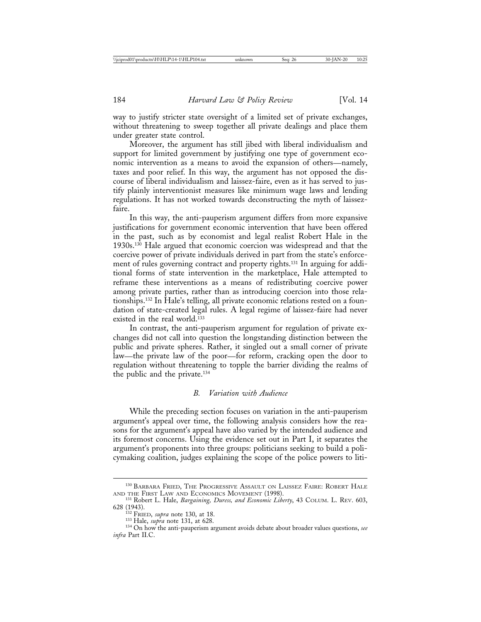way to justify stricter state oversight of a limited set of private exchanges, without threatening to sweep together all private dealings and place them under greater state control.

Moreover, the argument has still jibed with liberal individualism and support for limited government by justifying one type of government economic intervention as a means to avoid the expansion of others—namely, taxes and poor relief. In this way, the argument has not opposed the discourse of liberal individualism and laissez-faire, even as it has served to justify plainly interventionist measures like minimum wage laws and lending regulations. It has not worked towards deconstructing the myth of laissezfaire.

In this way, the anti-pauperism argument differs from more expansive justifications for government economic intervention that have been offered in the past, such as by economist and legal realist Robert Hale in the 1930s.130 Hale argued that economic coercion was widespread and that the coercive power of private individuals derived in part from the state's enforcement of rules governing contract and property rights.131 In arguing for additional forms of state intervention in the marketplace, Hale attempted to reframe these interventions as a means of redistributing coercive power among private parties, rather than as introducing coercion into those relationships.132 In Hale's telling, all private economic relations rested on a foundation of state-created legal rules. A legal regime of laissez-faire had never existed in the real world.<sup>133</sup>

In contrast, the anti-pauperism argument for regulation of private exchanges did not call into question the longstanding distinction between the public and private spheres. Rather, it singled out a small corner of private law—the private law of the poor—for reform, cracking open the door to regulation without threatening to topple the barrier dividing the realms of the public and the private.134

#### *B. Variation with Audience*

While the preceding section focuses on variation in the anti-pauperism argument's appeal over time, the following analysis considers how the reasons for the argument's appeal have also varied by the intended audience and its foremost concerns. Using the evidence set out in Part I, it separates the argument's proponents into three groups: politicians seeking to build a policymaking coalition, judges explaining the scope of the police powers to liti-

<sup>&</sup>lt;sup>130</sup> BARBARA FRIED, THE PROGRESSIVE ASSAULT ON LAISSEZ FAIRE: ROBERT HALE

AND THE FIRST LAW AND ECONOMICS MOVEMENT (1998).<br><sup>131</sup> Robert L. Hale, *Bargaining, Duress, and Economic Liberty*, 43 COLUM. L. REV. 603,<br>628 (1943).

<sup>&</sup>lt;sup>132</sup> FRIED, *supra* note 130, at 18.<br><sup>133</sup> Hale, *supra* note 131, at 628.<br><sup>134</sup> On how the anti-pauperism argument avoids debate about broader values questions, *see infra* Part II.C.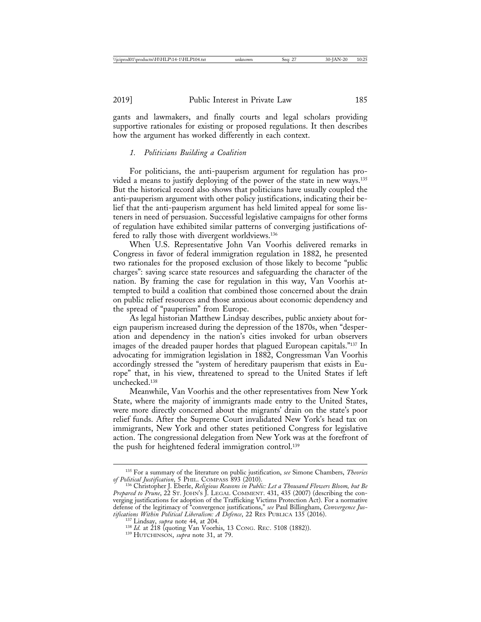gants and lawmakers, and finally courts and legal scholars providing supportive rationales for existing or proposed regulations. It then describes how the argument has worked differently in each context.

#### *1. Politicians Building a Coalition*

For politicians, the anti-pauperism argument for regulation has provided a means to justify deploying of the power of the state in new ways.135 But the historical record also shows that politicians have usually coupled the anti-pauperism argument with other policy justifications, indicating their belief that the anti-pauperism argument has held limited appeal for some listeners in need of persuasion. Successful legislative campaigns for other forms of regulation have exhibited similar patterns of converging justifications offered to rally those with divergent worldviews.136

When U.S. Representative John Van Voorhis delivered remarks in Congress in favor of federal immigration regulation in 1882, he presented two rationales for the proposed exclusion of those likely to become "public charges": saving scarce state resources and safeguarding the character of the nation. By framing the case for regulation in this way, Van Voorhis attempted to build a coalition that combined those concerned about the drain on public relief resources and those anxious about economic dependency and the spread of "pauperism" from Europe.

As legal historian Matthew Lindsay describes, public anxiety about foreign pauperism increased during the depression of the 1870s, when "desperation and dependency in the nation's cities invoked for urban observers images of the dreaded pauper hordes that plagued European capitals."137 In advocating for immigration legislation in 1882, Congressman Van Voorhis accordingly stressed the "system of hereditary pauperism that exists in Europe" that, in his view, threatened to spread to the United States if left unchecked.138

Meanwhile, Van Voorhis and the other representatives from New York State, where the majority of immigrants made entry to the United States, were more directly concerned about the migrants' drain on the state's poor relief funds. After the Supreme Court invalidated New York's head tax on immigrants, New York and other states petitioned Congress for legislative action. The congressional delegation from New York was at the forefront of the push for heightened federal immigration control.<sup>139</sup>

<sup>135</sup> For a summary of the literature on public justification, *see* Simone Chambers, *Theories of Political Justification*, 5 PHIL. COMPASS 893 (2010). <sup>136</sup> Christopher J. Eberle, *Religious Reasons in Public: Let a Thousand Flowers Bloom, but Be*

*Prepared to Prune*, 22 ST. JOHN'S J. LEGAL COMMENT. 431, 435 (2007) (describing the converging justifications for adoption of the Trafficking Victims Protection Act). For a normative defense of the legitimacy of "convergence justifications," *see* Paul Billingham, *Convergence Justifications Within Political Liberalism: A Defence*, 22 RES PUBLICA 135 (2016).<br><sup>137</sup> Lindsay, *supra* note 44, at 204.<br><sup>138</sup> *Id.* at 218 (quoting Van Voorhis, 13 CONG. REC. 5108 (1882)).<br><sup>139</sup> HUTCHINSON, *supra* note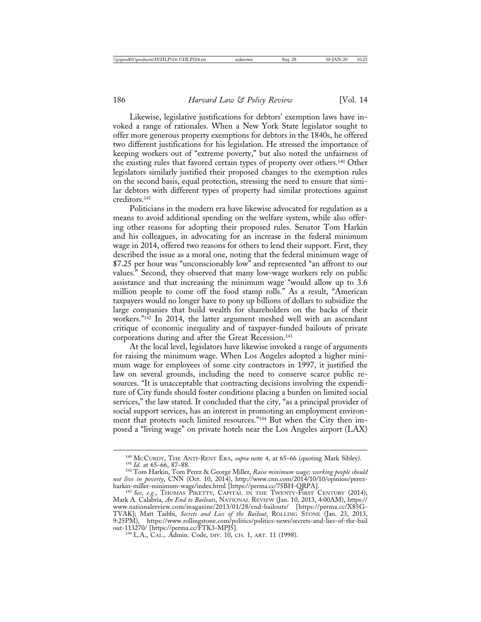Likewise, legislative justifications for debtors' exemption laws have invoked a range of rationales. When a New York State legislator sought to offer more generous property exemptions for debtors in the 1840s, he offered two different justifications for his legislation. He stressed the importance of keeping workers out of "extreme poverty," but also noted the unfairness of the existing rules that favored certain types of property over others.140 Other legislators similarly justified their proposed changes to the exemption rules on the second basis, equal protection, stressing the need to ensure that similar debtors with different types of property had similar protections against creditors.141

Politicians in the modern era have likewise advocated for regulation as a means to avoid additional spending on the welfare system, while also offering other reasons for adopting their proposed rules. Senator Tom Harkin and his colleagues, in advocating for an increase in the federal minimum wage in 2014, offered two reasons for others to lend their support. First, they described the issue as a moral one, noting that the federal minimum wage of \$7.25 per hour was "unconscionably low" and represented "an affront to our values." Second, they observed that many low-wage workers rely on public assistance and that increasing the minimum wage "would allow up to 3.6 million people to come off the food stamp rolls." As a result, "American taxpayers would no longer have to pony up billions of dollars to subsidize the large companies that build wealth for shareholders on the backs of their workers."<sup>142</sup> In 2014, the latter argument meshed well with an ascendant critique of economic inequality and of taxpayer-funded bailouts of private corporations during and after the Great Recession.143

At the local level, legislators have likewise invoked a range of arguments for raising the minimum wage. When Los Angeles adopted a higher minimum wage for employees of some city contractors in 1997, it justified the law on several grounds, including the need to conserve scarce public resources. "It is unacceptable that contracting decisions involving the expenditure of City funds should foster conditions placing a burden on limited social services," the law stated. It concluded that the city, "as a principal provider of social support services, has an interest in promoting an employment environment that protects such limited resources."144 But when the City then imposed a "living wage" on private hotels near the Los Angeles airport (LAX)

<sup>&</sup>lt;sup>140</sup> McCURDY, THE ANTI-RENT ERA, *supra* note 4, at 65–66 (quoting Mark Sibley).<br><sup>141</sup> *Id.* at 65–66, 87–88. 142 Tom Perez & George Miller, *Raise minimum wage; working people should* 

*not live in poverty*, CNN (Oct. 10, 2014), http://www.cnn.com/2014/10/10/opinion/perezharkin-miller-minimum-wage/index.html [https://perma.cc/75BH-QRPA]. <sup>143</sup> *See, e.g.*, THOMAS PIKETTY, CAPITAL IN THE TWENTY-FIRST CENTURY (2014);

Mark A. Calabria, *An End to Bailouts*, NATIONAL REVIEW (Jan. 10, 2013, 4:00AM), https:// www.nationalreview.com/magazine/2013/01/28/end-bailouts/ [https://perma.cc/X85G-TVAK]; Matt Taibbi, *Secrets and Lies of the Bailout*, ROLLING STONE (Jan. 23, 2013, 9:25PM), https://www.rollingstone.com/politics/politics-news/secrets-and-lies-of-the-bail out-113270/ [https://perma.cc/FTK3-MPJ5]. <sup>144</sup> L.A., CAL.*,* Admin. Code, DIV. 10, CH. 1, ART. 11 (1998).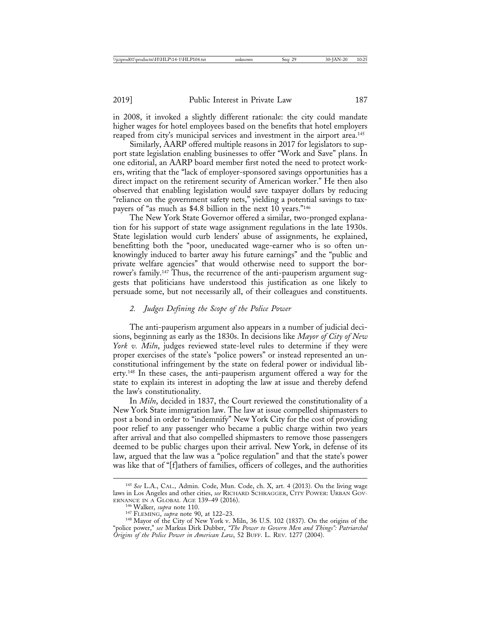in 2008, it invoked a slightly different rationale: the city could mandate higher wages for hotel employees based on the benefits that hotel employers reaped from city's municipal services and investment in the airport area.<sup>145</sup>

Similarly, AARP offered multiple reasons in 2017 for legislators to support state legislation enabling businesses to offer "Work and Save" plans. In one editorial, an AARP board member first noted the need to protect workers, writing that the "lack of employer-sponsored savings opportunities has a direct impact on the retirement security of American worker." He then also observed that enabling legislation would save taxpayer dollars by reducing "reliance on the government safety nets," yielding a potential savings to taxpayers of "as much as \$4.8 billion in the next 10 years."146

The New York State Governor offered a similar, two-pronged explanation for his support of state wage assignment regulations in the late 1930s. State legislation would curb lenders' abuse of assignments, he explained, benefitting both the "poor, uneducated wage-earner who is so often unknowingly induced to barter away his future earnings" and the "public and private welfare agencies" that would otherwise need to support the borrower's family.<sup>147</sup> Thus, the recurrence of the anti-pauperism argument suggests that politicians have understood this justification as one likely to persuade some, but not necessarily all, of their colleagues and constituents.

### *2. Judges Defining the Scope of the Police Power*

The anti-pauperism argument also appears in a number of judicial decisions, beginning as early as the 1830s. In decisions like *Mayor of City of New York v. Miln*, judges reviewed state-level rules to determine if they were proper exercises of the state's "police powers" or instead represented an unconstitutional infringement by the state on federal power or individual liberty.148 In these cases, the anti-pauperism argument offered a way for the state to explain its interest in adopting the law at issue and thereby defend the law's constitutionality.

In *Miln*, decided in 1837, the Court reviewed the constitutionality of a New York State immigration law. The law at issue compelled shipmasters to post a bond in order to "indemnify" New York City for the cost of providing poor relief to any passenger who became a public charge within two years after arrival and that also compelled shipmasters to remove those passengers deemed to be public charges upon their arrival. New York, in defense of its law, argued that the law was a "police regulation" and that the state's power was like that of "[f]athers of families, officers of colleges, and the authorities

<sup>145</sup> *See* L.A., CAL.*,* Admin. Code, Mun. Code, ch. X, art. 4 (2013). On the living wage laws in Los Angeles and other cities, *see* RICHARD SCHRAGGER, CITY POWER: URBAN GOV-ERNANCE IN A GLOBAL AGE 139-49 (2016).

<sup>&</sup>lt;sup>146</sup> Walker, *supra* note 110.<br><sup>147</sup> FLEMING, *supra* note 90, at 122–23.<br><sup>148</sup> Mayor of the City of New York v. Miln, 36 U.S. 102 (1837). On the origins of the "police power," *see* Markus Dirk Dubber, *"The Power to Govern Men and Things": Patriarchal Origins of the Police Power in American Law*, 52 BUFF. L. REV. 1277 (2004).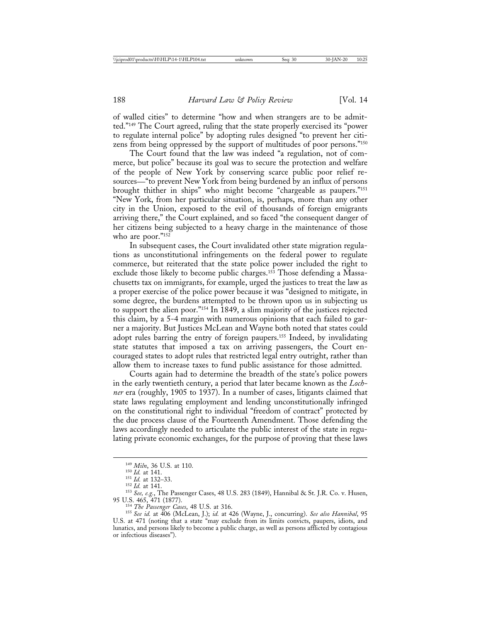of walled cities" to determine "how and when strangers are to be admitted."149 The Court agreed, ruling that the state properly exercised its "power to regulate internal police" by adopting rules designed "to prevent her citizens from being oppressed by the support of multitudes of poor persons."150

The Court found that the law was indeed "a regulation, not of commerce, but police" because its goal was to secure the protection and welfare of the people of New York by conserving scarce public poor relief resources—"to prevent New York from being burdened by an influx of persons brought thither in ships" who might become "chargeable as paupers."151 "New York, from her particular situation, is, perhaps, more than any other city in the Union, exposed to the evil of thousands of foreign emigrants arriving there," the Court explained, and so faced "the consequent danger of her citizens being subjected to a heavy charge in the maintenance of those who are poor."<sup>152</sup>

In subsequent cases, the Court invalidated other state migration regulations as unconstitutional infringements on the federal power to regulate commerce, but reiterated that the state police power included the right to exclude those likely to become public charges.<sup>153</sup> Those defending a Massachusetts tax on immigrants, for example, urged the justices to treat the law as a proper exercise of the police power because it was "designed to mitigate, in some degree, the burdens attempted to be thrown upon us in subjecting us to support the alien poor."154 In 1849, a slim majority of the justices rejected this claim, by a 5-4 margin with numerous opinions that each failed to garner a majority. But Justices McLean and Wayne both noted that states could adopt rules barring the entry of foreign paupers.155 Indeed, by invalidating state statutes that imposed a tax on arriving passengers, the Court encouraged states to adopt rules that restricted legal entry outright, rather than allow them to increase taxes to fund public assistance for those admitted.

Courts again had to determine the breadth of the state's police powers in the early twentieth century, a period that later became known as the *Lochner* era (roughly, 1905 to 1937). In a number of cases, litigants claimed that state laws regulating employment and lending unconstitutionally infringed on the constitutional right to individual "freedom of contract" protected by the due process clause of the Fourteenth Amendment. Those defending the laws accordingly needed to articulate the public interest of the state in regulating private economic exchanges, for the purpose of proving that these laws

<sup>149</sup> *Miln*, 36 U.S. at 110.<br>
<sup>150</sup> *Id.* at 141.<br>
<sup>151</sup> *Id.* at 132–33.<br>
<sup>152</sup> *Id.* at 141.<br>
<sup>153</sup> *See, e.g.*, The Passenger Cases, 48 U.S. 283 (1849), Hannibal & St. J.R. Co. v. Husen,<br>
95 U.S. 465, 471 (1877).<br>
<sup>154</sup>

<sup>&</sup>lt;sup>155</sup> See id. at 406 (McLean, J.); id. at 426 (Wayne, J., concurring). See also Hannibal, 95 U.S. at 471 (noting that a state "may exclude from its limits convicts, paupers, idiots, and lunatics, and persons likely to become a public charge, as well as persons afflicted by contagious or infectious diseases").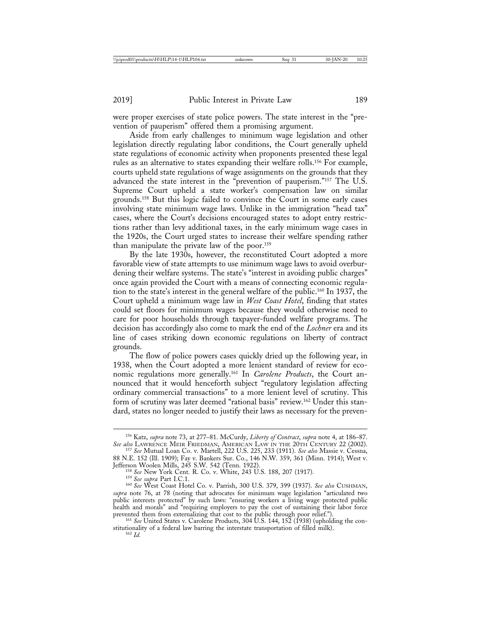were proper exercises of state police powers. The state interest in the "prevention of pauperism" offered them a promising argument.

Aside from early challenges to minimum wage legislation and other legislation directly regulating labor conditions, the Court generally upheld state regulations of economic activity when proponents presented these legal rules as an alternative to states expanding their welfare rolls.156 For example, courts upheld state regulations of wage assignments on the grounds that they advanced the state interest in the "prevention of pauperism."157 The U.S. Supreme Court upheld a state worker's compensation law on similar grounds.158 But this logic failed to convince the Court in some early cases involving state minimum wage laws. Unlike in the immigration "head tax" cases, where the Court's decisions encouraged states to adopt entry restrictions rather than levy additional taxes, in the early minimum wage cases in the 1920s, the Court urged states to increase their welfare spending rather than manipulate the private law of the poor.159

By the late 1930s, however, the reconstituted Court adopted a more favorable view of state attempts to use minimum wage laws to avoid overburdening their welfare systems. The state's "interest in avoiding public charges" once again provided the Court with a means of connecting economic regulation to the state's interest in the general welfare of the public.160 In 1937, the Court upheld a minimum wage law in *West Coast Hotel*, finding that states could set floors for minimum wages because they would otherwise need to care for poor households through taxpayer-funded welfare programs. The decision has accordingly also come to mark the end of the *Lochner* era and its line of cases striking down economic regulations on liberty of contract grounds.

The flow of police powers cases quickly dried up the following year, in 1938, when the Court adopted a more lenient standard of review for economic regulations more generally.161 In *Carolene Products*, the Court announced that it would henceforth subject "regulatory legislation affecting ordinary commercial transactions" to a more lenient level of scrutiny. This form of scrutiny was later deemed "rational basis" review.162 Under this standard, states no longer needed to justify their laws as necessary for the preven-

<sup>158</sup> See New York Cent. R. Co. v. White, 243 U.S. 188, 207 (1917).<br><sup>159</sup> See supra Part I.C.1.<br><sup>160</sup> See West Coast Hotel Co. v. Parrish, 300 U.S. 379, 399 (1937). *See also* CUSHMAN, *supra* note 76, at 78 (noting that advocates for minimum wage legislation "articulated two public interests protected" by such laws: "ensuring workers a living wage protected public health and morals" and "requiring employers to pay the cost of sustaining their labor force prevented them from externalizing that cost to the public through poor relief.").<br><sup>161</sup> *See* United States v. Carolene Products, 304 U.S. 144, 152 (1938) (upholding the con-

stitutionality of a federal law barring the interstate transportation of filled milk).  $^{162}$  *Id* 

<sup>156</sup> Katz, *supra* note 73, at 277–81. McCurdy, *Liberty of Contract*, *supra* note 4, at 186–87. *See also* LAWRENCE MEIR FRIEDMAN, AMERICAN LAW IN THE 20TH CENTURY 22 (2002). <sup>157</sup> *See* Mutual Loan Co. v. Martell, 222 U.S. 225, 233 (1911). *See also* Massie v. Cessna,

<sup>88</sup> N.E. 152 (Ill. 1909); Fay v. Bankers Sur. Co., 146 N.W. 359, 361 (Minn. 1914); West v.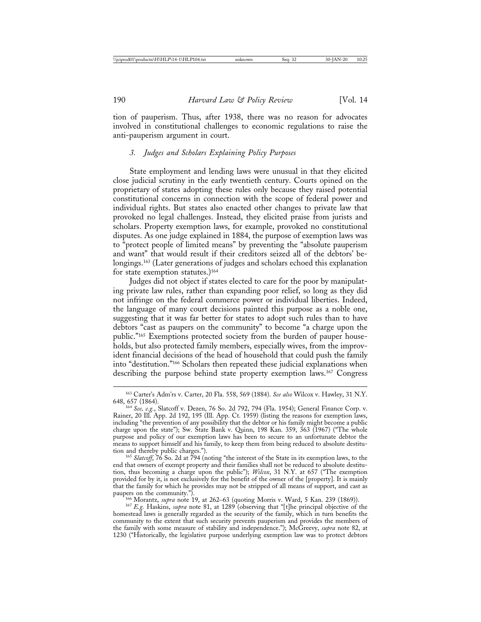tion of pauperism. Thus, after 1938, there was no reason for advocates involved in constitutional challenges to economic regulations to raise the anti-pauperism argument in court.

#### *3. Judges and Scholars Explaining Policy Purposes*

State employment and lending laws were unusual in that they elicited close judicial scrutiny in the early twentieth century. Courts opined on the proprietary of states adopting these rules only because they raised potential constitutional concerns in connection with the scope of federal power and individual rights. But states also enacted other changes to private law that provoked no legal challenges. Instead, they elicited praise from jurists and scholars. Property exemption laws, for example, provoked no constitutional disputes. As one judge explained in 1884, the purpose of exemption laws was to "protect people of limited means" by preventing the "absolute pauperism and want" that would result if their creditors seized all of the debtors' belongings.<sup>163</sup> (Later generations of judges and scholars echoed this explanation for state exemption statutes.) $164$ 

Judges did not object if states elected to care for the poor by manipulating private law rules, rather than expanding poor relief, so long as they did not infringe on the federal commerce power or individual liberties. Indeed, the language of many court decisions painted this purpose as a noble one, suggesting that it was far better for states to adopt such rules than to have debtors "cast as paupers on the community" to become "a charge upon the public."165 Exemptions protected society from the burden of pauper households, but also protected family members, especially wives, from the improvident financial decisions of the head of household that could push the family into "destitution."166 Scholars then repeated these judicial explanations when describing the purpose behind state property exemption laws.167 Congress

<sup>165</sup> Slatcoff, 76 So. 2d at 794 (noting "the interest of the State in its exemption laws, to the end that owners of exempt property and their families shall not be reduced to absolute destitution, thus becoming a charge upon the public"); *Wilcox*, 31 N.Y. at 657 ("The exemption provided for by it, is not exclusively for the benefit of the owner of the [property]. It is mainly that the family for which he provides may not be stripped of all means of support, and cast as paupers on the community.").<br>
<sup>166</sup> Morantz, *supra* note 19, at 262–63 (quoting Morris v. Ward, 5 Kan. 239 (1869)).<br>
<sup>167</sup> *E.g.* Haskins, *supra* note 81, at 1289 (observing that "[t]he principal objective of the

homestead laws is generally regarded as the security of the family, which in turn benefits the community to the extent that such security prevents pauperism and provides the members of the family with some measure of stability and independence."); McGreevy, *supra* note 82, at 1230 ("Historically, the legislative purpose underlying exemption law was to protect debtors

<sup>163</sup> Carter's Adm'rs v. Carter, 20 Fla. 558, 569 (1884). *See also* Wilcox v. Hawley, 31 N.Y.

<sup>648, 657 (1864).&</sup>lt;br><sup>164</sup> *See, e.g*., Slatcoff v. Dezen, 76 So. 2d 792, 794 (Fla. 1954); General Finance Corp. v. Rainer, 20 Ill. App. 2d 192, 195 (Ill. App. Ct. 1959) (listing the reasons for exemption laws, including "the prevention of any possibility that the debtor or his family might become a public charge upon the state"); Sw. State Bank v. Quinn, 198 Kan. 359, 363 (1967) ("The whole purpose and policy of our exemption laws has been to secure to an unfortunate debtor the means to support himself and his family, to keep them from being reduced to absolute destitu-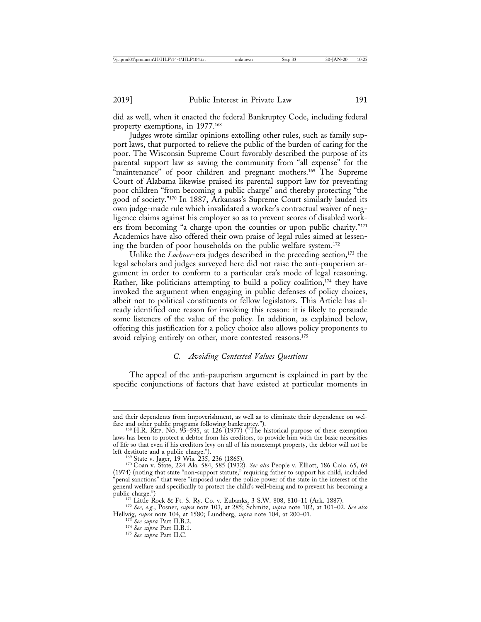did as well, when it enacted the federal Bankruptcy Code, including federal property exemptions, in 1977.168

Judges wrote similar opinions extolling other rules, such as family support laws, that purported to relieve the public of the burden of caring for the poor. The Wisconsin Supreme Court favorably described the purpose of its parental support law as saving the community from "all expense" for the "maintenance" of poor children and pregnant mothers.<sup>169</sup> The Supreme Court of Alabama likewise praised its parental support law for preventing poor children "from becoming a public charge" and thereby protecting "the good of society."170 In 1887, Arkansas's Supreme Court similarly lauded its own judge-made rule which invalidated a worker's contractual waiver of negligence claims against his employer so as to prevent scores of disabled workers from becoming "a charge upon the counties or upon public charity."171 Academics have also offered their own praise of legal rules aimed at lessening the burden of poor households on the public welfare system.172

Unlike the *Lochner*-era judges described in the preceding section,<sup>173</sup> the legal scholars and judges surveyed here did not raise the anti-pauperism argument in order to conform to a particular era's mode of legal reasoning. Rather, like politicians attempting to build a policy coalition, $174$  they have invoked the argument when engaging in public defenses of policy choices, albeit not to political constituents or fellow legislators. This Article has already identified one reason for invoking this reason: it is likely to persuade some listeners of the value of the policy. In addition, as explained below, offering this justification for a policy choice also allows policy proponents to avoid relying entirely on other, more contested reasons.175

# *C. Avoiding Contested Values Questions*

The appeal of the anti-pauperism argument is explained in part by the specific conjunctions of factors that have existed at particular moments in

and their dependents from impoverishment, as well as to eliminate their dependence on welfare and other public programs following bankruptcy.").<br><sup>168</sup> H.R. REP. No. 95–595, at 126 (1977) ("The historical purpose of these exemption

laws has been to protect a debtor from his creditors, to provide him with the basic necessities of life so that even if his creditors levy on all of his nonexempt property, the debtor will not be left destitute and a public charge."). <sup>169</sup> State v. Jager, 19 Wis. 235, 236 (1865).<br><sup>170</sup> Coan v. State, 224 Ala. 584, 585 (1932). *See also* People v. Elliott, 186 Colo. 65, 69

<sup>(1974) (</sup>noting that state "non-support statute," requiring father to support his child, included "penal sanctions" that were "imposed under the police power of the state in the interest of the general welfare and specifically to protect the child's well-being and to prevent his becoming a

public charge.") <sup>171</sup> Little Rock & Ft. S. Ry. Co. v. Eubanks, 3 S.W. 808, 810–11 (Ark. 1887). <sup>172</sup> *See, e.g.*, Posner, *supra* note 103, at 285; Schmitz, *supra* note 102, at 101–02. *See also* Hellwig, *supra* note 104, at 1580; Lundberg, *supra* note 104, at 200–01. <sup>173</sup> *See supra* Part II.B.2. <sup>174</sup> *See supra* Part II.B.1. <sup>175</sup> *See supra* Part II.C*.*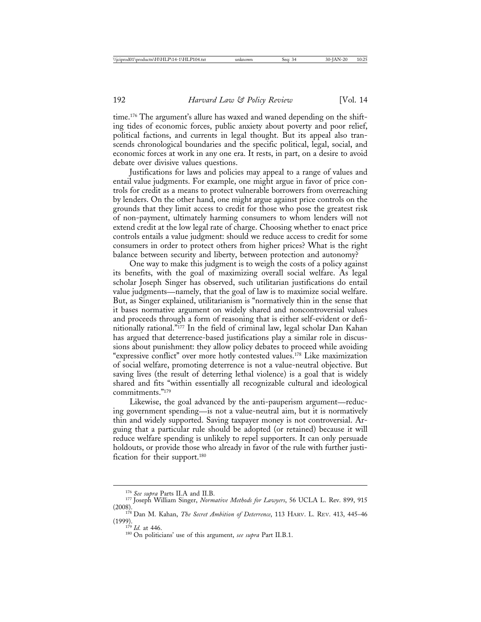time.176 The argument's allure has waxed and waned depending on the shifting tides of economic forces, public anxiety about poverty and poor relief, political factions, and currents in legal thought. But its appeal also transcends chronological boundaries and the specific political, legal, social, and economic forces at work in any one era. It rests, in part, on a desire to avoid debate over divisive values questions.

Justifications for laws and policies may appeal to a range of values and entail value judgments. For example, one might argue in favor of price controls for credit as a means to protect vulnerable borrowers from overreaching by lenders. On the other hand, one might argue against price controls on the grounds that they limit access to credit for those who pose the greatest risk of non-payment, ultimately harming consumers to whom lenders will not extend credit at the low legal rate of charge. Choosing whether to enact price controls entails a value judgment: should we reduce access to credit for some consumers in order to protect others from higher prices? What is the right balance between security and liberty, between protection and autonomy?

One way to make this judgment is to weigh the costs of a policy against its benefits, with the goal of maximizing overall social welfare. As legal scholar Joseph Singer has observed, such utilitarian justifications do entail value judgments—namely, that the goal of law is to maximize social welfare. But, as Singer explained, utilitarianism is "normatively thin in the sense that it bases normative argument on widely shared and noncontroversial values and proceeds through a form of reasoning that is either self-evident or definitionally rational."177 In the field of criminal law, legal scholar Dan Kahan has argued that deterrence-based justifications play a similar role in discussions about punishment: they allow policy debates to proceed while avoiding "expressive conflict" over more hotly contested values.178 Like maximization of social welfare, promoting deterrence is not a value-neutral objective. But saving lives (the result of deterring lethal violence) is a goal that is widely shared and fits "within essentially all recognizable cultural and ideological commitments."179

Likewise, the goal advanced by the anti-pauperism argument—reducing government spending—is not a value-neutral aim, but it is normatively thin and widely supported. Saving taxpayer money is not controversial. Arguing that a particular rule should be adopted (or retained) because it will reduce welfare spending is unlikely to repel supporters. It can only persuade holdouts, or provide those who already in favor of the rule with further justification for their support.<sup>180</sup>

<sup>176</sup> *See supra* Parts II.A and II.B. <sup>177</sup> Joseph William Singer, *Normative Methods for Lawyers*, 56 UCLA L. Rev. 899, 915

<sup>(2008).&</sup>lt;br><sup>178</sup> Dan M. Kahan, *The Secret Ambition of Deterrence*, 113 HARV. L. REV. 413, 445–46<br><sup>179</sup> L. at 446

<sup>&</sup>lt;sup>180</sup> On politicians' use of this argument, *see supra* Part II.B.1.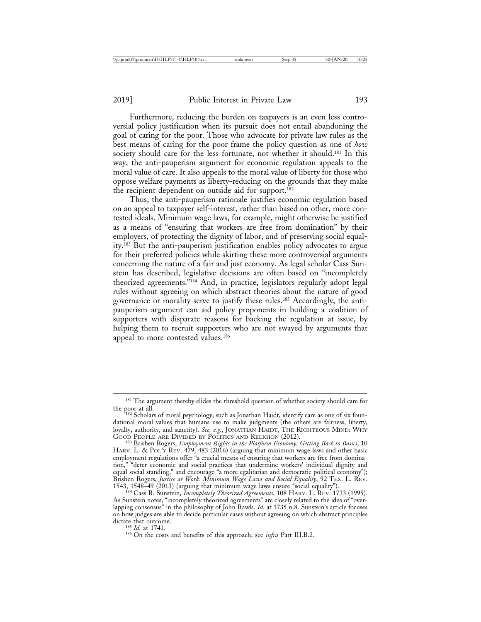Furthermore, reducing the burden on taxpayers is an even less controversial policy justification when its pursuit does not entail abandoning the goal of caring for the poor. Those who advocate for private law rules as the best means of caring for the poor frame the policy question as one of *how* society should care for the less fortunate, not whether it should.<sup>181</sup> In this way, the anti-pauperism argument for economic regulation appeals to the moral value of care. It also appeals to the moral value of liberty for those who oppose welfare payments as liberty-reducing on the grounds that they make the recipient dependent on outside aid for support.182

Thus, the anti-pauperism rationale justifies economic regulation based on an appeal to taxpayer self-interest, rather than based on other, more contested ideals. Minimum wage laws, for example, might otherwise be justified as a means of "ensuring that workers are free from domination" by their employers, of protecting the dignity of labor, and of preserving social equality.183 But the anti-pauperism justification enables policy advocates to argue for their preferred policies while skirting these more controversial arguments concerning the nature of a fair and just economy. As legal scholar Cass Sunstein has described, legislative decisions are often based on "incompletely theorized agreements."184 And, in practice, legislators regularly adopt legal rules without agreeing on which abstract theories about the nature of good governance or morality serve to justify these rules.185 Accordingly, the antipauperism argument can aid policy proponents in building a coalition of supporters with disparate reasons for backing the regulation at issue, by helping them to recruit supporters who are not swayed by arguments that appeal to more contested values.<sup>186</sup>

<sup>&</sup>lt;sup>181</sup> The argument thereby elides the threshold question of whether society should care for the poor at all.

<sup>182</sup> Scholars of moral psychology, such as Jonathan Haidt, identify care as one of six foundational moral values that humans use to make judgments (the others are fairness, liberty, loyalty, authority, and sanctity). *See, e.g.*, JONATHAN HAIDT, THE RIGHTEOUS MIND: WHY GOOD PEOPLE ARE DIVIDED BY POLITICS AND RELIGION (2012).

GOOD PEOPLE ARE DIVIDED BY POLITICS AND RELIGION (2012). <sup>183</sup> Brishen Rogers, *Employment Rights in the Platform Economy: Getting Back to Basics*, 10 HARV. L. & POL'Y REV. 479, 483 (2016) (arguing that minimum wage laws and other basic employment regulations offer "a crucial means of ensuring that workers are free from domination," "deter economic and social practices that undermine workers' individual dignity and equal social standing," and encourage "a more egalitarian and democratic political economy"); Brishen Rogers, *Justice at Work: Minimum Wage Laws and Social Equality*, 92 TEX. L. REV.<br>1543, 1548–49 (2013) (arguing that minimum wage laws ensure "social equality").

<sup>&</sup>lt;sup>184</sup> Cass R. Sunstein, *Incompletely Theorized Agreements*, 108 HARV. L. REV. 1733 (1995). As Sunstein notes, "incompletely theorized agreements" are closely related to the idea of "overlapping consensus" in the philosophy of John Rawls. *Id.* at 1735 n.8. Sunstein's article focuses on how judges are able to decide particular cases without agreeing on which abstract principles dictate that outcome.<br><sup>185</sup> Id. at 1741.

<sup>&</sup>lt;sup>186</sup> On the costs and benefits of this approach, see *infra* Part III.B.2.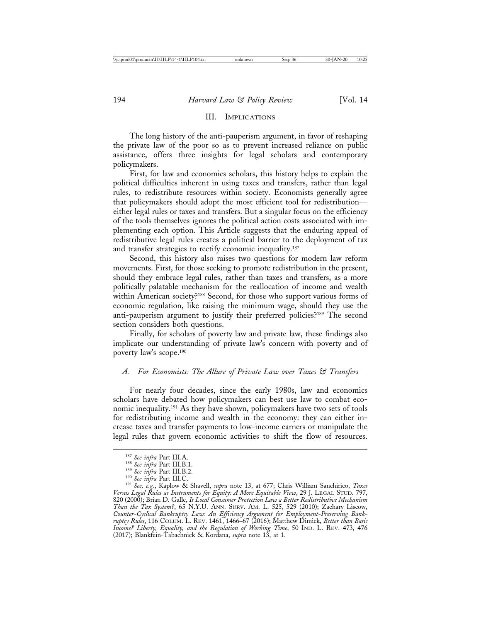## III. IMPLICATIONS

The long history of the anti-pauperism argument, in favor of reshaping the private law of the poor so as to prevent increased reliance on public assistance, offers three insights for legal scholars and contemporary policymakers.

First, for law and economics scholars, this history helps to explain the political difficulties inherent in using taxes and transfers, rather than legal rules, to redistribute resources within society. Economists generally agree that policymakers should adopt the most efficient tool for redistribution either legal rules or taxes and transfers. But a singular focus on the efficiency of the tools themselves ignores the political action costs associated with implementing each option. This Article suggests that the enduring appeal of redistributive legal rules creates a political barrier to the deployment of tax and transfer strategies to rectify economic inequality.<sup>187</sup>

Second, this history also raises two questions for modern law reform movements. First, for those seeking to promote redistribution in the present, should they embrace legal rules, rather than taxes and transfers, as a more politically palatable mechanism for the reallocation of income and wealth within American society?<sup>188</sup> Second, for those who support various forms of economic regulation, like raising the minimum wage, should they use the anti-pauperism argument to justify their preferred policies?189 The second section considers both questions.

Finally, for scholars of poverty law and private law, these findings also implicate our understanding of private law's concern with poverty and of poverty law's scope.190

#### *A. For Economists: The Allure of Private Law over Taxes & Transfers*

For nearly four decades, since the early 1980s, law and economics scholars have debated how policymakers can best use law to combat economic inequality.191 As they have shown, policymakers have two sets of tools for redistributing income and wealth in the economy: they can either increase taxes and transfer payments to low-income earners or manipulate the legal rules that govern economic activities to shift the flow of resources.

<sup>&</sup>lt;sup>187</sup> See infra Part III.A.<br><sup>188</sup> See infra Part III.B.1.<br><sup>189</sup> See infra Part III.B.2.<br><sup>190</sup> See infra Part III.C.<br><sup>191</sup> See, e.g., Kaplow & Shavell, *supra* note 13, at 677; Chris William Sanchirico, *Taxes Versus Legal Rules as Instruments for Equity: A More Equitable View*, 29 J. LEGAL STUD. 797, 820 (2000); Brian D. Galle, *Is Local Consumer Protection Law a Better Redistributive Mechanism Than the Tax System?*, 65 N.Y.U. ANN. SURV. AM. L. 525, 529 (2010); Zachary Liscow, *Counter-Cyclical Bankruptcy Law: An Efficiency Argument for Employment-Preserving Bankruptcy Rules*, 116 COLUM. L. REV. 1461, 1466–67 (2016); Matthew Dimick, *Better than Basic Income? Liberty, Equality, and the Regulation of Working Time*, 50 IND. L. REV. 473, 476 (2017); Blankfein-Tabachnick & Kordana, *supra* note 13, at 1.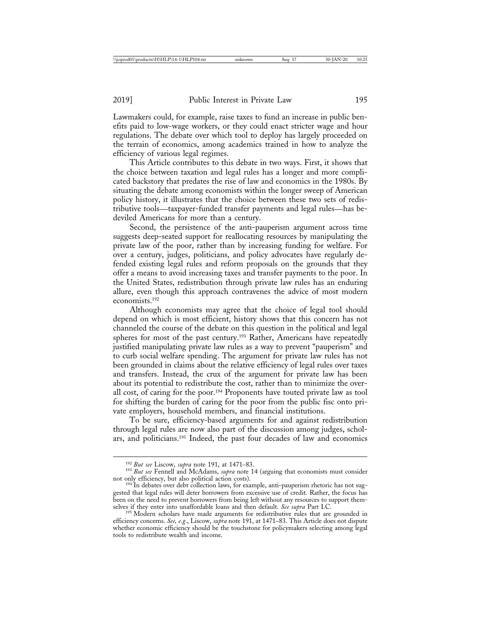Lawmakers could, for example, raise taxes to fund an increase in public benefits paid to low-wage workers, or they could enact stricter wage and hour regulations. The debate over which tool to deploy has largely proceeded on the terrain of economics, among academics trained in how to analyze the efficiency of various legal regimes.

This Article contributes to this debate in two ways. First, it shows that the choice between taxation and legal rules has a longer and more complicated backstory that predates the rise of law and economics in the 1980s. By situating the debate among economists within the longer sweep of American policy history, it illustrates that the choice between these two sets of redistributive tools—taxpayer-funded transfer payments and legal rules—has bedeviled Americans for more than a century.

Second, the persistence of the anti-pauperism argument across time suggests deep-seated support for reallocating resources by manipulating the private law of the poor, rather than by increasing funding for welfare. For over a century, judges, politicians, and policy advocates have regularly defended existing legal rules and reform proposals on the grounds that they offer a means to avoid increasing taxes and transfer payments to the poor. In the United States, redistribution through private law rules has an enduring allure, even though this approach contravenes the advice of most modern economists.192

Although economists may agree that the choice of legal tool should depend on which is most efficient, history shows that this concern has not channeled the course of the debate on this question in the political and legal spheres for most of the past century.<sup>193</sup> Rather, Americans have repeatedly justified manipulating private law rules as a way to prevent "pauperism" and to curb social welfare spending. The argument for private law rules has not been grounded in claims about the relative efficiency of legal rules over taxes and transfers. Instead, the crux of the argument for private law has been about its potential to redistribute the cost, rather than to minimize the overall cost, of caring for the poor.194 Proponents have touted private law as tool for shifting the burden of caring for the poor from the public fisc onto private employers, household members, and financial institutions.

To be sure, efficiency-based arguments for and against redistribution through legal rules are now also part of the discussion among judges, scholars, and politicians.195 Indeed, the past four decades of law and economics

<sup>&</sup>lt;sup>192</sup> *But see* Liscow, *supra* note 191, at 1471–83.<br><sup>193</sup> *But see* Fennell and McAdams, *supra* note 14 (arguing that economists must consider not only efficiency, but also political action costs).

<sup>&</sup>lt;sup>194</sup> In debates over debt collection laws, for example, anti-pauperism rhetoric has not suggested that legal rules will deter borrowers from excessive use of credit. Rather, the focus has been on the need to prevent borrowers from being left without any resources to support them-<br>selves if they enter into unaffordable loans and then default. See supra Part I.C.

<sup>&</sup>lt;sup>195</sup> Modern scholars have made arguments for redistributive rules that are grounded in efficiency concerns. *See, e.g.*, Liscow, *supra* note 191, at 1471–83. This Article does not dispute whether economic efficiency should be the touchstone for policymakers selecting among legal tools to redistribute wealth and income.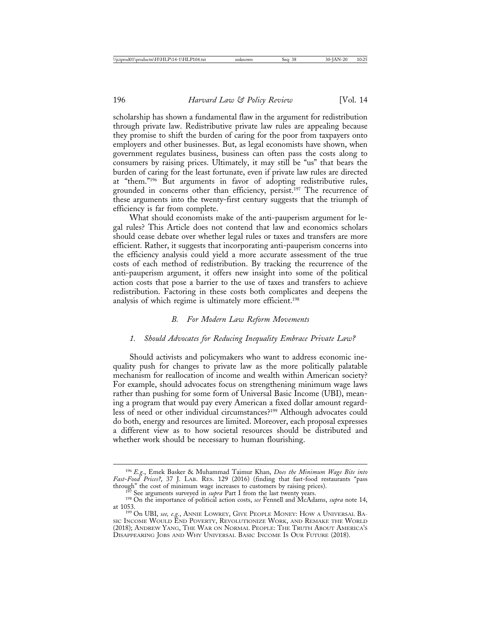scholarship has shown a fundamental flaw in the argument for redistribution through private law. Redistributive private law rules are appealing because they promise to shift the burden of caring for the poor from taxpayers onto employers and other businesses. But, as legal economists have shown, when government regulates business, business can often pass the costs along to consumers by raising prices. Ultimately, it may still be "us" that bears the burden of caring for the least fortunate, even if private law rules are directed at "them."196 But arguments in favor of adopting redistributive rules, grounded in concerns other than efficiency, persist.<sup>197</sup> The recurrence of these arguments into the twenty-first century suggests that the triumph of efficiency is far from complete.

What should economists make of the anti-pauperism argument for legal rules? This Article does not contend that law and economics scholars should cease debate over whether legal rules or taxes and transfers are more efficient. Rather, it suggests that incorporating anti-pauperism concerns into the efficiency analysis could yield a more accurate assessment of the true costs of each method of redistribution. By tracking the recurrence of the anti-pauperism argument, it offers new insight into some of the political action costs that pose a barrier to the use of taxes and transfers to achieve redistribution. Factoring in these costs both complicates and deepens the analysis of which regime is ultimately more efficient.198

#### *B. For Modern Law Reform Movements*

# *1. Should Advocates for Reducing Inequality Embrace Private Law?*

Should activists and policymakers who want to address economic inequality push for changes to private law as the more politically palatable mechanism for reallocation of income and wealth within American society? For example, should advocates focus on strengthening minimum wage laws rather than pushing for some form of Universal Basic Income (UBI), meaning a program that would pay every American a fixed dollar amount regardless of need or other individual circumstances?199 Although advocates could do both, energy and resources are limited. Moreover, each proposal expresses a different view as to how societal resources should be distributed and whether work should be necessary to human flourishing.

<sup>196</sup> *E.g.*, Emek Basker & Muhammad Taimur Khan, *Does the Minimum Wage Bite into Fast-Food Prices?*, 37 J. LAB. RES. 129 (2016) (finding that fast-food restaurants "pass through" the cost of minimum wage increases to customers by raising prices).<br><sup>197</sup> See arguments surveyed in *supra* Part I from the last twenty years.<br><sup>198</sup> On the importance of political action costs, *see* Fennell and M

at 1053. <sup>199</sup> On UBI, *see, e.g.*, ANNIE LOWREY, GIVE PEOPLE MONEY: HOW A UNIVERSAL BA-SIC INCOME WOULD END POVERTY, REVOLUTIONIZE WORK, AND REMAKE THE WORLD (2018); ANDREW YANG, THE WAR ON NORMAL PEOPLE: THE TRUTH ABOUT AMERICA'S DISAPPEARING JOBS AND WHY UNIVERSAL BASIC INCOME IS OUR FUTURE (2018).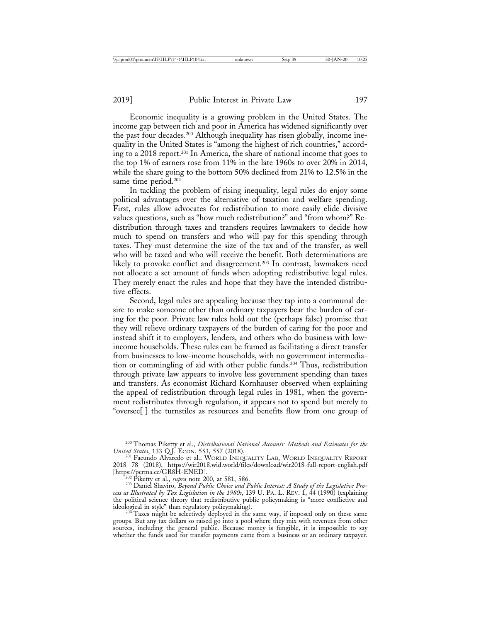Economic inequality is a growing problem in the United States. The income gap between rich and poor in America has widened significantly over the past four decades.200 Although inequality has risen globally, income inequality in the United States is "among the highest of rich countries," according to a 2018 report.201 In America, the share of national income that goes to the top 1% of earners rose from 11% in the late 1960s to over 20% in 2014, while the share going to the bottom 50% declined from 21% to 12.5% in the same time period.<sup>202</sup>

In tackling the problem of rising inequality, legal rules do enjoy some political advantages over the alternative of taxation and welfare spending. First, rules allow advocates for redistribution to more easily elide divisive values questions, such as "how much redistribution?" and "from whom?" Redistribution through taxes and transfers requires lawmakers to decide how much to spend on transfers and who will pay for this spending through taxes. They must determine the size of the tax and of the transfer, as well who will be taxed and who will receive the benefit. Both determinations are likely to provoke conflict and disagreement.<sup>203</sup> In contrast, lawmakers need not allocate a set amount of funds when adopting redistributive legal rules. They merely enact the rules and hope that they have the intended distributive effects.

Second, legal rules are appealing because they tap into a communal desire to make someone other than ordinary taxpayers bear the burden of caring for the poor. Private law rules hold out the (perhaps false) promise that they will relieve ordinary taxpayers of the burden of caring for the poor and instead shift it to employers, lenders, and others who do business with lowincome households. These rules can be framed as facilitating a direct transfer from businesses to low-income households, with no government intermediation or commingling of aid with other public funds.204 Thus, redistribution through private law appears to involve less government spending than taxes and transfers. As economist Richard Kornhauser observed when explaining the appeal of redistribution through legal rules in 1981, when the government redistributes through regulation, it appears not to spend but merely to "oversee[ ] the turnstiles as resources and benefits flow from one group of

<sup>&</sup>lt;sup>200</sup> Thomas Piketty et al., *Distributional National Accounts: Methods and Estimates for the United States*, 133 Q.J. ECON. 553, 557 (2018).

<sup>&</sup>lt;sup>201</sup> Facundo Alvaredo et al., WORLD INEQUALITY LAB, WORLD INEQUALITY REPORT 2018 78 (2018), https://wir2018.wid.world/files/download/wir2018-full-report-english.pdf

bosity permanect Greek Little Little 200, at 581, 586.<br><sup>202</sup> Piketty et al., *supra* note 200, at 581, 586.<br><sup>203</sup> Daniel Shaviro, *Beyond Public Choice and Public Interest: A Study of the Legislative Process as Illustrated by Tax Legislation in the 1980s*, 139 U. PA. L. REV. 1, 44 (1990) (explaining the political science theory that redistributive public policymaking is "more conflictive and ideological in style" than regulatory policymaking).

<sup>&</sup>lt;sup>204</sup> Taxes might be selectively deployed in the same way, if imposed only on these same groups. But any tax dollars so raised go into a pool where they mix with revenues from other sources, including the general public. Because money is fungible, it is impossible to say whether the funds used for transfer payments came from a business or an ordinary taxpayer.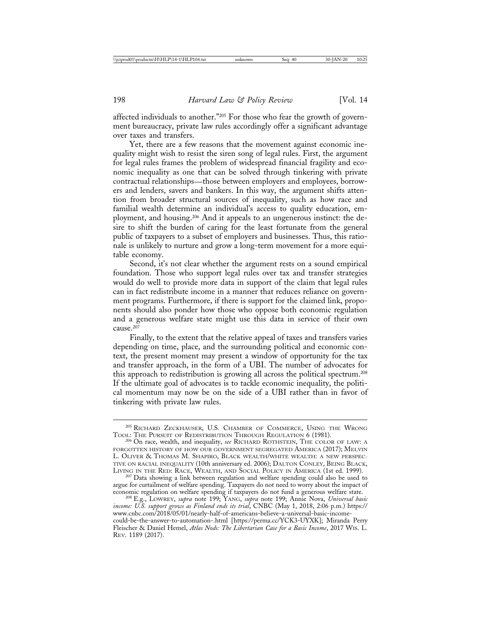affected individuals to another."205 For those who fear the growth of government bureaucracy, private law rules accordingly offer a significant advantage over taxes and transfers.

Yet, there are a few reasons that the movement against economic inequality might wish to resist the siren song of legal rules. First, the argument for legal rules frames the problem of widespread financial fragility and economic inequality as one that can be solved through tinkering with private contractual relationships—those between employers and employees, borrowers and lenders, savers and bankers. In this way, the argument shifts attention from broader structural sources of inequality, such as how race and familial wealth determine an individual's access to quality education, employment, and housing.206 And it appeals to an ungenerous instinct: the desire to shift the burden of caring for the least fortunate from the general public of taxpayers to a subset of employers and businesses. Thus, this rationale is unlikely to nurture and grow a long-term movement for a more equitable economy.

Second, it's not clear whether the argument rests on a sound empirical foundation. Those who support legal rules over tax and transfer strategies would do well to provide more data in support of the claim that legal rules can in fact redistribute income in a manner that reduces reliance on government programs. Furthermore, if there is support for the claimed link, proponents should also ponder how those who oppose both economic regulation and a generous welfare state might use this data in service of their own cause.<sup>207</sup>

Finally, to the extent that the relative appeal of taxes and transfers varies depending on time, place, and the surrounding political and economic context, the present moment may present a window of opportunity for the tax and transfer approach, in the form of a UBI. The number of advocates for this approach to redistribution is growing all across the political spectrum.208 If the ultimate goal of advocates is to tackle economic inequality, the political momentum may now be on the side of a UBI rather than in favor of tinkering with private law rules.

 $^{205}$  RICHARD ZECKHAUSER, U.S. CHAMBER OF COMMERCE, USING THE WRONG TOOL: THE PURSUIT OF REDISTRIBUTION THROUGH REGULATION 6 (1981).

<sup>&</sup>lt;sup>206</sup> On race, wealth, and inequality, *see* RICHARD ROTHSTEIN, THE COLOR OF LAW: A FORGOTTEN HISTORY OF HOW OUR GOVERNMENT SEGREGATED AMERICA (2017); MELVIN L. OLIVER & THOMAS M. SHAPIRO, BLACK WEALTH/WHITE WEALTH: A NEW PERSPEC-TIVE ON RACIAL INEQUALITY (10th anniversary ed. 2006); DALTON CONLEY, BEING BLACK,

<sup>&</sup>lt;sup>207</sup> Data showing a link between regulation and welfare spending could also be used to argue for curtailment of welfare spending. Taxpayers do not need to worry about the impact of economic regulation on welfare spending if taxpayers do not fund a generous welfare state. <sup>208</sup> E.g., LOWREY, *supra* note 199; YANG, *supra* note 199; Annie Nova, *Universal basic*

*income: U.S. support grows as Finland ends its trial*, CNBC (May 1, 2018, 2:06 p.m.) https:// www.cnbc.com/2018/05/01/nearly-half-of-americans-believe-a-universal-basic-incomecould-be-the-answer-to-automation-.html [https://perma.cc/YCK3-UYXK]; Miranda Perry

Fleischer & Daniel Hemel, *Atlas Nods: The Libertarian Case for a Basic Income*, 2017 WIS. L. REV. 1189 (2017).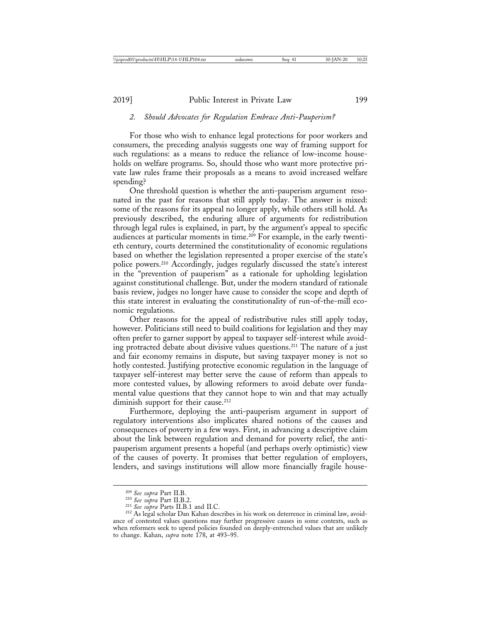#### *2. Should Advocates for Regulation Embrace Anti-Pauperism?*

For those who wish to enhance legal protections for poor workers and consumers, the preceding analysis suggests one way of framing support for such regulations: as a means to reduce the reliance of low-income households on welfare programs. So, should those who want more protective private law rules frame their proposals as a means to avoid increased welfare spending?

One threshold question is whether the anti-pauperism argument resonated in the past for reasons that still apply today. The answer is mixed: some of the reasons for its appeal no longer apply, while others still hold. As previously described, the enduring allure of arguments for redistribution through legal rules is explained, in part, by the argument's appeal to specific audiences at particular moments in time.209 For example, in the early twentieth century, courts determined the constitutionality of economic regulations based on whether the legislation represented a proper exercise of the state's police powers.210 Accordingly, judges regularly discussed the state's interest in the "prevention of pauperism" as a rationale for upholding legislation against constitutional challenge. But, under the modern standard of rationale basis review, judges no longer have cause to consider the scope and depth of this state interest in evaluating the constitutionality of run-of-the-mill economic regulations.

Other reasons for the appeal of redistributive rules still apply today, however. Politicians still need to build coalitions for legislation and they may often prefer to garner support by appeal to taxpayer self-interest while avoiding protracted debate about divisive values questions.211 The nature of a just and fair economy remains in dispute, but saving taxpayer money is not so hotly contested. Justifying protective economic regulation in the language of taxpayer self-interest may better serve the cause of reform than appeals to more contested values, by allowing reformers to avoid debate over fundamental value questions that they cannot hope to win and that may actually diminish support for their cause.<sup>212</sup>

Furthermore, deploying the anti-pauperism argument in support of regulatory interventions also implicates shared notions of the causes and consequences of poverty in a few ways. First, in advancing a descriptive claim about the link between regulation and demand for poverty relief, the antipauperism argument presents a hopeful (and perhaps overly optimistic) view of the causes of poverty. It promises that better regulation of employers, lenders, and savings institutions will allow more financially fragile house-

<sup>&</sup>lt;sup>209</sup> *See supra* Part II.B.<br><sup>210</sup> *See supra* Parts II.B.1 and II.C.<br><sup>212</sup> As legal scholar Dan Kahan describes in his work on deterrence in criminal law, avoidance of contested values questions may further progressive causes in some contexts, such as when reformers seek to upend policies founded on deeply-entrenched values that are unlikely to change. Kahan, *supra* note 178, at 493–95.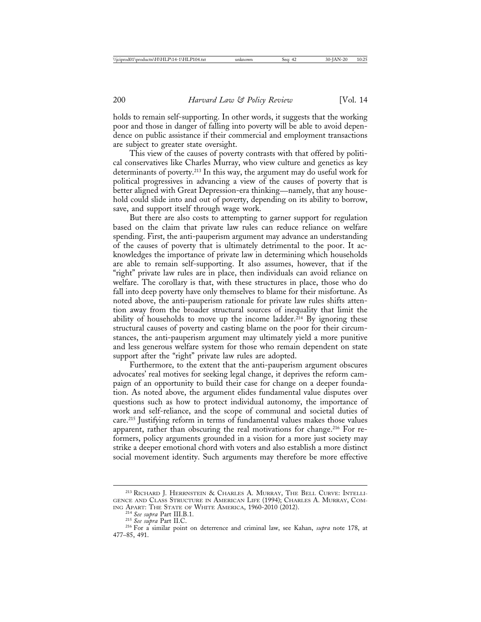holds to remain self-supporting. In other words, it suggests that the working poor and those in danger of falling into poverty will be able to avoid dependence on public assistance if their commercial and employment transactions are subject to greater state oversight.

This view of the causes of poverty contrasts with that offered by political conservatives like Charles Murray, who view culture and genetics as key determinants of poverty.213 In this way, the argument may do useful work for political progressives in advancing a view of the causes of poverty that is better aligned with Great Depression-era thinking—namely, that any household could slide into and out of poverty, depending on its ability to borrow, save, and support itself through wage work.

But there are also costs to attempting to garner support for regulation based on the claim that private law rules can reduce reliance on welfare spending. First, the anti-pauperism argument may advance an understanding of the causes of poverty that is ultimately detrimental to the poor. It acknowledges the importance of private law in determining which households are able to remain self-supporting. It also assumes, however, that if the "right" private law rules are in place, then individuals can avoid reliance on welfare. The corollary is that, with these structures in place, those who do fall into deep poverty have only themselves to blame for their misfortune. As noted above, the anti-pauperism rationale for private law rules shifts attention away from the broader structural sources of inequality that limit the ability of households to move up the income ladder.<sup>214</sup> By ignoring these structural causes of poverty and casting blame on the poor for their circumstances, the anti-pauperism argument may ultimately yield a more punitive and less generous welfare system for those who remain dependent on state support after the "right" private law rules are adopted.

Furthermore, to the extent that the anti-pauperism argument obscures advocates' real motives for seeking legal change, it deprives the reform campaign of an opportunity to build their case for change on a deeper foundation. As noted above, the argument elides fundamental value disputes over questions such as how to protect individual autonomy, the importance of work and self-reliance, and the scope of communal and societal duties of care.215 Justifying reform in terms of fundamental values makes those values apparent, rather than obscuring the real motivations for change.<sup>216</sup> For reformers, policy arguments grounded in a vision for a more just society may strike a deeper emotional chord with voters and also establish a more distinct social movement identity. Such arguments may therefore be more effective

<sup>213</sup> RICHARD J. HERRNSTEIN & CHARLES A. MURRAY, THE BELL CURVE: INTELLI-GENCE AND CLASS STRUCTURE IN AMERICAN LIFE (1994); CHARLES A. MURRAY, COMING APART: THE STATE OF WHITE AMERICA, 1960-2010 (2012).

ING APART: THE STATE OF WHITE AMERICA, 1960-2010 (2012). <sup>214</sup> *See supra* Part III.B.1. <sup>215</sup> *See supra* Part II.C. <sup>216</sup> For a similar point on deterrence and criminal law, see Kahan, *supra* note 178, at 477–85, 491.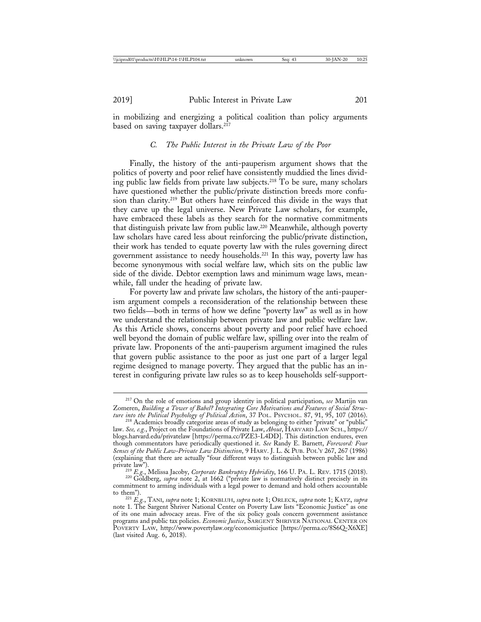in mobilizing and energizing a political coalition than policy arguments based on saving taxpayer dollars.<sup>217</sup>

#### *C. The Public Interest in the Private Law of the Poor*

Finally, the history of the anti-pauperism argument shows that the politics of poverty and poor relief have consistently muddied the lines dividing public law fields from private law subjects.218 To be sure, many scholars have questioned whether the public/private distinction breeds more confusion than clarity.219 But others have reinforced this divide in the ways that they carve up the legal universe. New Private Law scholars, for example, have embraced these labels as they search for the normative commitments that distinguish private law from public law.220 Meanwhile, although poverty law scholars have cared less about reinforcing the public/private distinction, their work has tended to equate poverty law with the rules governing direct government assistance to needy households.221 In this way, poverty law has become synonymous with social welfare law, which sits on the public law side of the divide. Debtor exemption laws and minimum wage laws, meanwhile, fall under the heading of private law.

For poverty law and private law scholars, the history of the anti-pauperism argument compels a reconsideration of the relationship between these two fields—both in terms of how we define "poverty law" as well as in how we understand the relationship between private law and public welfare law. As this Article shows, concerns about poverty and poor relief have echoed well beyond the domain of public welfare law, spilling over into the realm of private law. Proponents of the anti-pauperism argument imagined the rules that govern public assistance to the poor as just one part of a larger legal regime designed to manage poverty. They argued that the public has an interest in configuring private law rules so as to keep households self-support-

private law"). <sup>219</sup> *E.g.*, Melissa Jacoby, *Corporate Bankruptcy Hybridity*, 166 U. PA. L. REV. 1715 (2018). <sup>220</sup> Goldberg, *supra* note 2, at 1662 ("private law is normatively distinct precisely in its

<sup>217</sup> On the role of emotions and group identity in political participation, *see* Martijn van Zomeren, *Building a Tower of Babel? Integrating Core Motivations and Features of Social Structure into the Political Psychology of Political Action*, 37 POL. PSYCHOL. 87, 91, 95, 107 (2016). <sup>218</sup> Academics broadly categorize areas of study as belonging to either "private" or "public"

law. *See, e.g.*, Project on the Foundations of Private Law, *About*, HARVARD LAW SCH., https:// blogs.harvard.edu/privatelaw [https://perma.cc/PZE3-L4DD]. This distinction endures, even though commentators have periodically questioned it. *See* Randy E. Barnett, *Foreword: Four Senses of the Public Law-Private Law Distinction*, 9 HARV. J. L. & PUB. POL'Y 267, 267 (1986) (explaining that there are actually "four different ways to distinguish between public law and

commitment to arming individuals with a legal power to demand and hold others accountable to them").

to them"). <sup>221</sup> *E.g.*, TANI, *supra* note 1; KORNBLUH, *supra* note 1; ORLECK, *supra* note 1; KATZ, *supra* note 1. The Sargent Shriver National Center on Poverty Law lists "Economic Justice" as one of its one main advocacy areas. Five of the six policy goals concern government assistance programs and public tax policies. *Economic Justice*, SARGENT SHRIVER NATIONAL CENTER ON POVERTY LAW, http://www.povertylaw.org/economicjustice [https://perma.cc/8S6Q-X6XE] (last visited Aug. 6, 2018).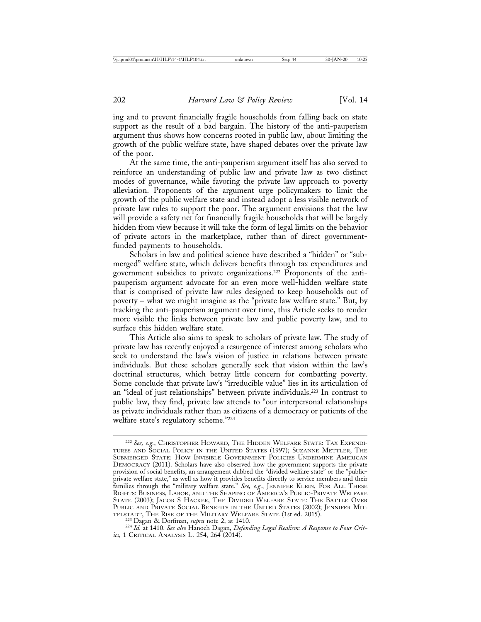ing and to prevent financially fragile households from falling back on state support as the result of a bad bargain. The history of the anti-pauperism argument thus shows how concerns rooted in public law, about limiting the growth of the public welfare state, have shaped debates over the private law of the poor.

At the same time, the anti-pauperism argument itself has also served to reinforce an understanding of public law and private law as two distinct modes of governance, while favoring the private law approach to poverty alleviation. Proponents of the argument urge policymakers to limit the growth of the public welfare state and instead adopt a less visible network of private law rules to support the poor. The argument envisions that the law will provide a safety net for financially fragile households that will be largely hidden from view because it will take the form of legal limits on the behavior of private actors in the marketplace, rather than of direct governmentfunded payments to households.

Scholars in law and political science have described a "hidden" or "submerged" welfare state, which delivers benefits through tax expenditures and government subsidies to private organizations.222 Proponents of the antipauperism argument advocate for an even more well-hidden welfare state that is comprised of private law rules designed to keep households out of poverty – what we might imagine as the "private law welfare state." But, by tracking the anti-pauperism argument over time, this Article seeks to render more visible the links between private law and public poverty law, and to surface this hidden welfare state.

This Article also aims to speak to scholars of private law. The study of private law has recently enjoyed a resurgence of interest among scholars who seek to understand the law's vision of justice in relations between private individuals. But these scholars generally seek that vision within the law's doctrinal structures, which betray little concern for combatting poverty. Some conclude that private law's "irreducible value" lies in its articulation of an "ideal of just relationships" between private individuals.223 In contrast to public law, they find, private law attends to "our interpersonal relationships as private individuals rather than as citizens of a democracy or patients of the welfare state's regulatory scheme."224

<sup>222</sup> *See, e.g.*, CHRISTOPHER HOWARD, THE HIDDEN WELFARE STATE: TAX EXPENDI-TURES AND SOCIAL POLICY IN THE UNITED STATES (1997); SUZANNE METTLER, THE SUBMERGED STATE: HOW INVISIBLE GOVERNMENT POLICIES UNDERMINE AMERICAN DEMOCRACY (2011). Scholars have also observed how the government supports the private provision of social benefits, an arrangement dubbed the "divided welfare state" or the "publicprivate welfare state," as well as how it provides benefits directly to service members and their families through the "military welfare state." *See, e.g.*, JENNIFER KLEIN, FOR ALL THESE RIGHTS: BUSINESS, LABOR, AND THE SHAPING OF AMERICA'S PUBLIC-PRIVATE WELFARE STATE (2003); JACOB S HACKER, THE DIVIDED WELFARE STATE: THE BATTLE OVER PUBLIC AND PRIVATE SOCIAL BENEFITS IN THE UNITED STATES (2002); JENNIFER MITTELSTADT, THE RISE OF THE MILITARY WELFARE STATE (1st ed. 2015).

<sup>&</sup>lt;sup>223</sup> Dagan & Dorfman, *supra* note 2, at 1410.<br><sup>224</sup> Id. at 1410. See also Hanoch Dagan, *Defending Legal Realism: A Response to Four Critics*, 1 CRITICAL ANALYSIS L. 254, 264 (2014).